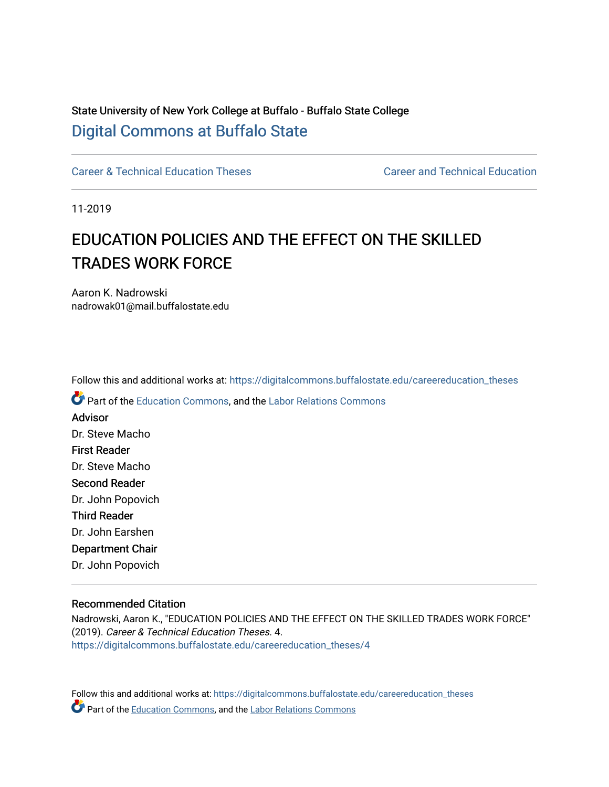## State University of New York College at Buffalo - Buffalo State College [Digital Commons at Buffalo State](https://digitalcommons.buffalostate.edu/)

[Career & Technical Education Theses](https://digitalcommons.buffalostate.edu/careereducation_theses) [Career and Technical Education](https://digitalcommons.buffalostate.edu/career_and_tech_education) 

11-2019

# EDUCATION POLICIES AND THE EFFECT ON THE SKILLED TRADES WORK FORCE

Aaron K. Nadrowski nadrowak01@mail.buffalostate.edu

Follow this and additional works at: [https://digitalcommons.buffalostate.edu/careereducation\\_theses](https://digitalcommons.buffalostate.edu/careereducation_theses?utm_source=digitalcommons.buffalostate.edu%2Fcareereducation_theses%2F4&utm_medium=PDF&utm_campaign=PDFCoverPages)

**P** Part of the [Education Commons](http://network.bepress.com/hgg/discipline/784?utm_source=digitalcommons.buffalostate.edu%2Fcareereducation_theses%2F4&utm_medium=PDF&utm_campaign=PDFCoverPages), and the [Labor Relations Commons](http://network.bepress.com/hgg/discipline/635?utm_source=digitalcommons.buffalostate.edu%2Fcareereducation_theses%2F4&utm_medium=PDF&utm_campaign=PDFCoverPages) Advisor Dr. Steve Macho First Reader Dr. Steve Macho Second Reader Dr. John Popovich Third Reader Dr. John Earshen Department Chair Dr. John Popovich

## Recommended Citation

Nadrowski, Aaron K., "EDUCATION POLICIES AND THE EFFECT ON THE SKILLED TRADES WORK FORCE" (2019). Career & Technical Education Theses. 4. [https://digitalcommons.buffalostate.edu/careereducation\\_theses/4](https://digitalcommons.buffalostate.edu/careereducation_theses/4?utm_source=digitalcommons.buffalostate.edu%2Fcareereducation_theses%2F4&utm_medium=PDF&utm_campaign=PDFCoverPages)

Follow this and additional works at: [https://digitalcommons.buffalostate.edu/careereducation\\_theses](https://digitalcommons.buffalostate.edu/careereducation_theses?utm_source=digitalcommons.buffalostate.edu%2Fcareereducation_theses%2F4&utm_medium=PDF&utm_campaign=PDFCoverPages) **C** Part of the [Education Commons,](http://network.bepress.com/hgg/discipline/784?utm_source=digitalcommons.buffalostate.edu%2Fcareereducation_theses%2F4&utm_medium=PDF&utm_campaign=PDFCoverPages) and the Labor Relations Commons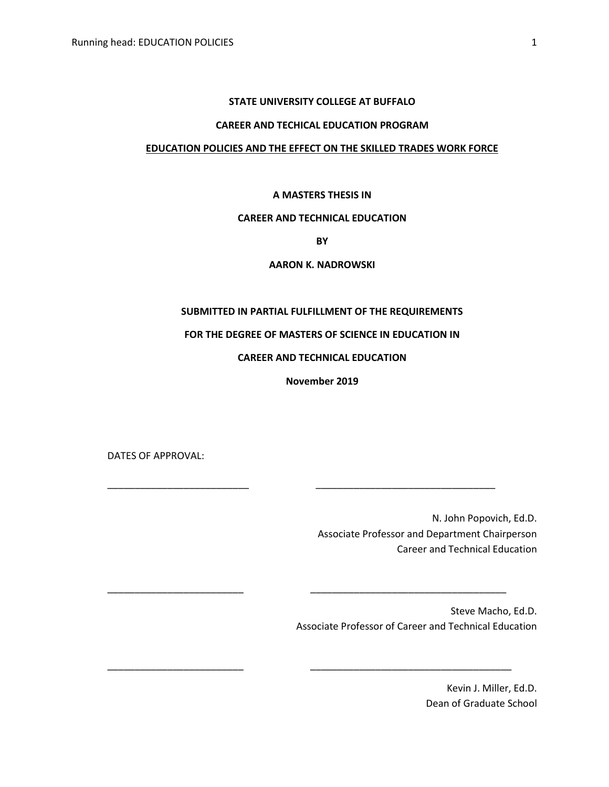#### **STATE UNIVERSITY COLLEGE AT BUFFALO**

#### **CAREER AND TECHICAL EDUCATION PROGRAM**

#### **EDUCATION POLICIES AND THE EFFECT ON THE SKILLED TRADES WORK FORCE**

#### **A MASTERS THESIS IN**

#### **CAREER AND TECHNICAL EDUCATION**

**BY**

**AARON K. NADROWSKI**

#### **SUBMITTED IN PARTIAL FULFILLMENT OF THE REQUIREMENTS**

**FOR THE DEGREE OF MASTERS OF SCIENCE IN EDUCATION IN** 

#### **CAREER AND TECHNICAL EDUCATION**

**November 2019**

\_\_\_\_\_\_\_\_\_\_\_\_\_\_\_\_\_\_\_\_\_\_\_\_\_\_ \_\_\_\_\_\_\_\_\_\_\_\_\_\_\_\_\_\_\_\_\_\_\_\_\_\_\_\_\_\_\_\_\_

\_\_\_\_\_\_\_\_\_\_\_\_\_\_\_\_\_\_\_\_\_\_\_\_\_ \_\_\_\_\_\_\_\_\_\_\_\_\_\_\_\_\_\_\_\_\_\_\_\_\_\_\_\_\_\_\_\_\_\_\_\_

\_\_\_\_\_\_\_\_\_\_\_\_\_\_\_\_\_\_\_\_\_\_\_\_\_ \_\_\_\_\_\_\_\_\_\_\_\_\_\_\_\_\_\_\_\_\_\_\_\_\_\_\_\_\_\_\_\_\_\_\_\_\_

DATES OF APPROVAL:

N. John Popovich, Ed.D. Associate Professor and Department Chairperson Career and Technical Education

Steve Macho, Ed.D. Associate Professor of Career and Technical Education

> Kevin J. Miller, Ed.D. Dean of Graduate School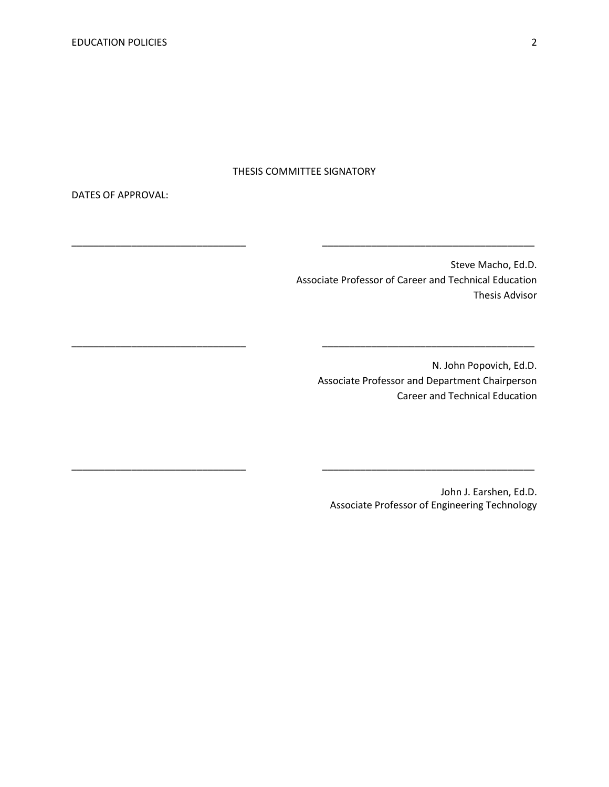### THESIS COMMITTEE SIGNATORY

\_\_\_\_\_\_\_\_\_\_\_\_\_\_\_\_\_\_\_\_\_\_\_\_\_\_\_\_\_\_\_\_ \_\_\_\_\_\_\_\_\_\_\_\_\_\_\_\_\_\_\_\_\_\_\_\_\_\_\_\_\_\_\_\_\_\_\_\_\_\_\_

\_\_\_\_\_\_\_\_\_\_\_\_\_\_\_\_\_\_\_\_\_\_\_\_\_\_\_\_\_\_\_\_ \_\_\_\_\_\_\_\_\_\_\_\_\_\_\_\_\_\_\_\_\_\_\_\_\_\_\_\_\_\_\_\_\_\_\_\_\_\_\_

\_\_\_\_\_\_\_\_\_\_\_\_\_\_\_\_\_\_\_\_\_\_\_\_\_\_\_\_\_\_\_\_ \_\_\_\_\_\_\_\_\_\_\_\_\_\_\_\_\_\_\_\_\_\_\_\_\_\_\_\_\_\_\_\_\_\_\_\_\_\_\_

DATES OF APPROVAL:

Steve Macho, Ed.D. Associate Professor of Career and Technical Education Thesis Advisor

N. John Popovich, Ed.D. Associate Professor and Department Chairperson Career and Technical Education

John J. Earshen, Ed.D. Associate Professor of Engineering Technology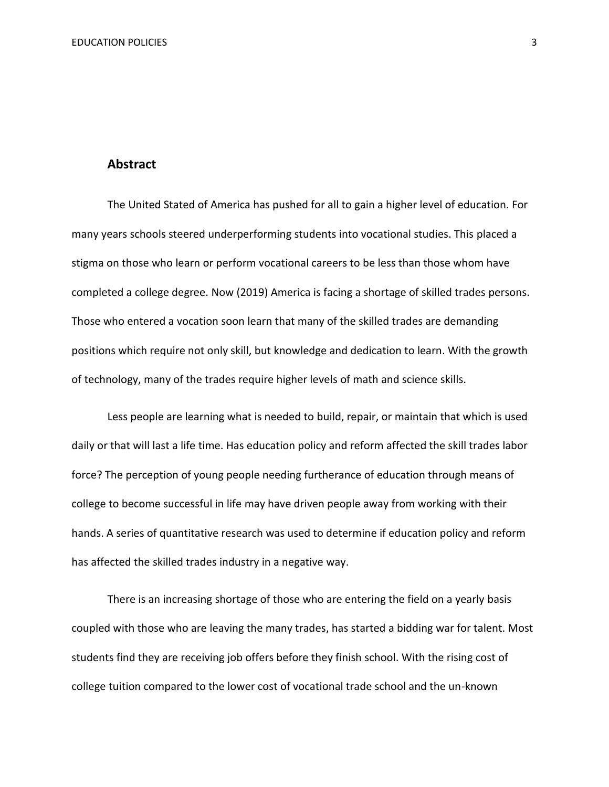## **Abstract**

The United Stated of America has pushed for all to gain a higher level of education. For many years schools steered underperforming students into vocational studies. This placed a stigma on those who learn or perform vocational careers to be less than those whom have completed a college degree. Now (2019) America is facing a shortage of skilled trades persons. Those who entered a vocation soon learn that many of the skilled trades are demanding positions which require not only skill, but knowledge and dedication to learn. With the growth of technology, many of the trades require higher levels of math and science skills.

Less people are learning what is needed to build, repair, or maintain that which is used daily or that will last a life time. Has education policy and reform affected the skill trades labor force? The perception of young people needing furtherance of education through means of college to become successful in life may have driven people away from working with their hands. A series of quantitative research was used to determine if education policy and reform has affected the skilled trades industry in a negative way.

There is an increasing shortage of those who are entering the field on a yearly basis coupled with those who are leaving the many trades, has started a bidding war for talent. Most students find they are receiving job offers before they finish school. With the rising cost of college tuition compared to the lower cost of vocational trade school and the un-known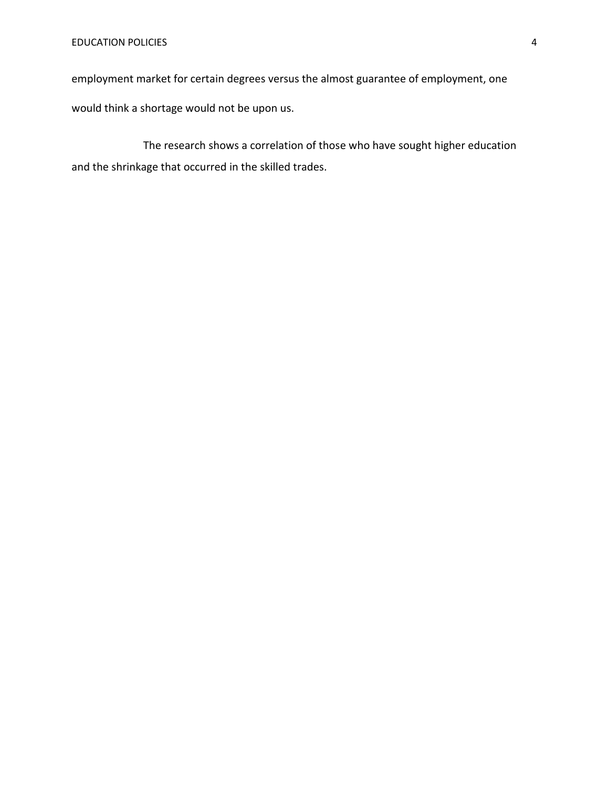employment market for certain degrees versus the almost guarantee of employment, one would think a shortage would not be upon us.

The research shows a correlation of those who have sought higher education and the shrinkage that occurred in the skilled trades.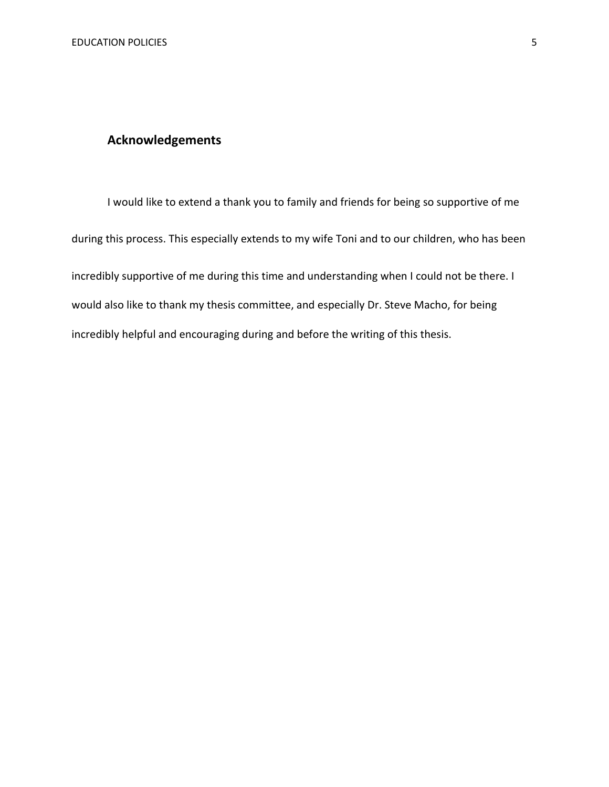## **Acknowledgements**

I would like to extend a thank you to family and friends for being so supportive of me during this process. This especially extends to my wife Toni and to our children, who has been incredibly supportive of me during this time and understanding when I could not be there. I would also like to thank my thesis committee, and especially Dr. Steve Macho, for being incredibly helpful and encouraging during and before the writing of this thesis.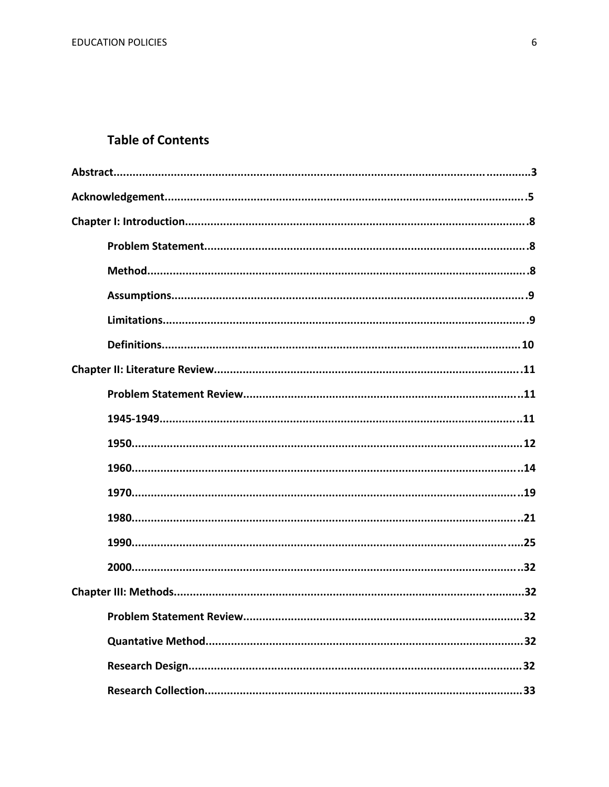## **Table of Contents**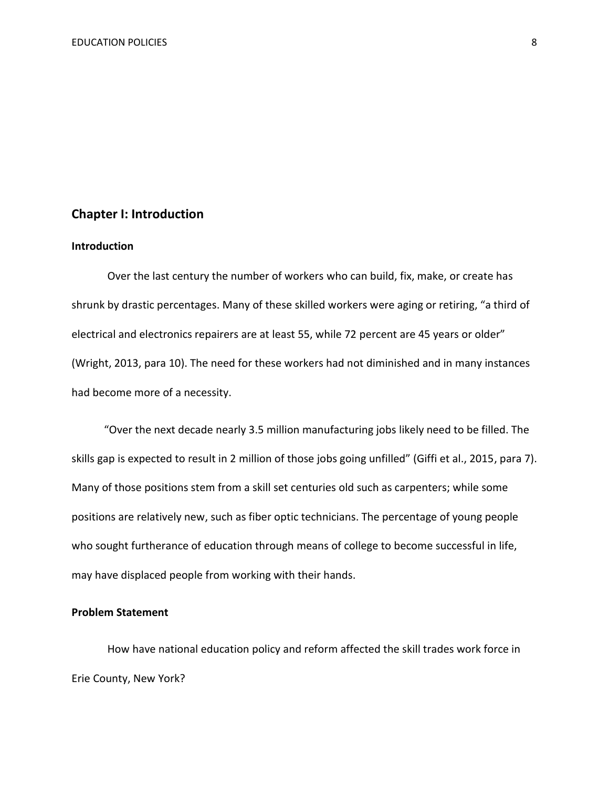## **Chapter I: Introduction**

## **Introduction**

Over the last century the number of workers who can build, fix, make, or create has shrunk by drastic percentages. Many of these skilled workers were aging or retiring, "a third of electrical and electronics repairers are at least 55, while 72 percent are 45 years or older" (Wright, 2013, para 10). The need for these workers had not diminished and in many instances had become more of a necessity.

 "Over the next decade nearly 3.5 million manufacturing jobs likely need to be filled. The skills gap is expected to result in 2 million of those jobs going unfilled" (Giffi et al., 2015, para 7). Many of those positions stem from a skill set centuries old such as carpenters; while some positions are relatively new, such as fiber optic technicians. The percentage of young people who sought furtherance of education through means of college to become successful in life, may have displaced people from working with their hands.

## **Problem Statement**

How have national education policy and reform affected the skill trades work force in Erie County, New York?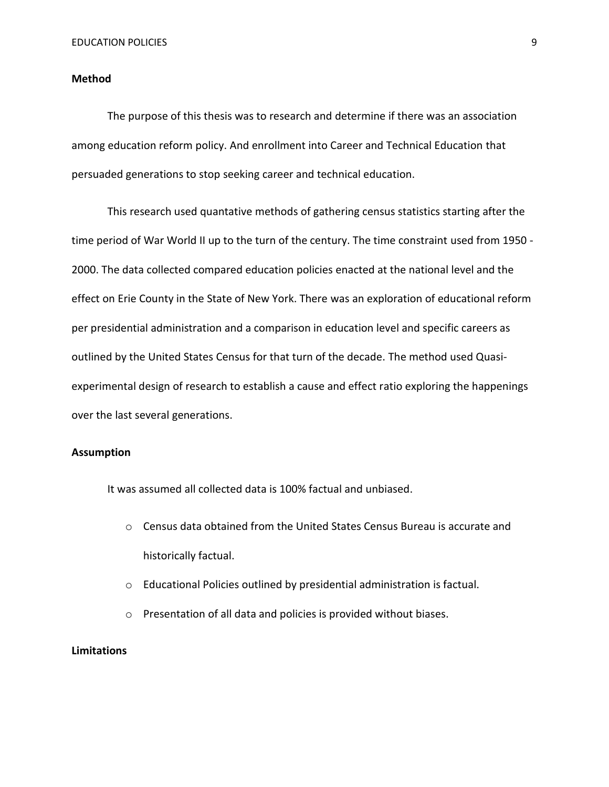#### **Method**

The purpose of this thesis was to research and determine if there was an association among education reform policy. And enrollment into Career and Technical Education that persuaded generations to stop seeking career and technical education.

This research used quantative methods of gathering census statistics starting after the time period of War World II up to the turn of the century. The time constraint used from 1950 - 2000. The data collected compared education policies enacted at the national level and the effect on Erie County in the State of New York. There was an exploration of educational reform per presidential administration and a comparison in education level and specific careers as outlined by the United States Census for that turn of the decade. The method used Quasiexperimental design of research to establish a cause and effect ratio exploring the happenings over the last several generations.

#### **Assumption**

It was assumed all collected data is 100% factual and unbiased.

- $\circ$  Census data obtained from the United States Census Bureau is accurate and historically factual.
- o Educational Policies outlined by presidential administration is factual.
- o Presentation of all data and policies is provided without biases.

#### **Limitations**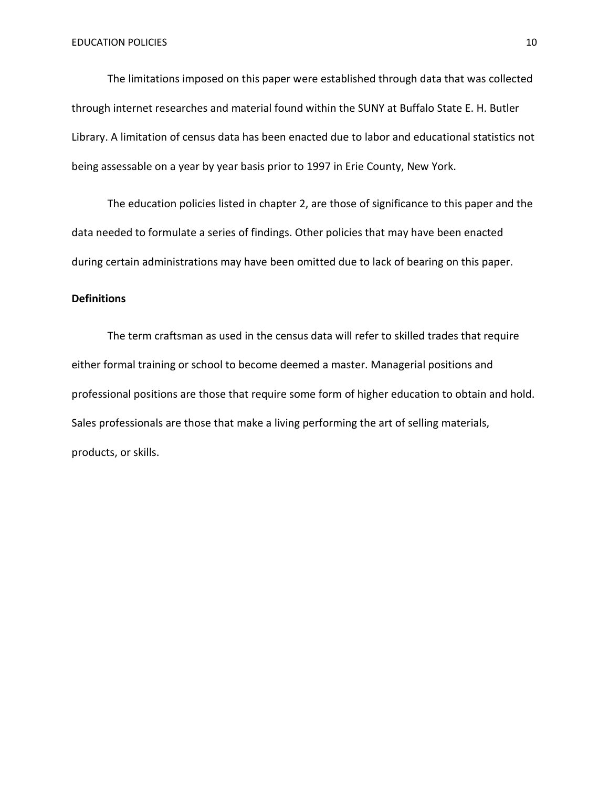The limitations imposed on this paper were established through data that was collected through internet researches and material found within the SUNY at Buffalo State E. H. Butler Library. A limitation of census data has been enacted due to labor and educational statistics not being assessable on a year by year basis prior to 1997 in Erie County, New York.

The education policies listed in chapter 2, are those of significance to this paper and the data needed to formulate a series of findings. Other policies that may have been enacted during certain administrations may have been omitted due to lack of bearing on this paper.

#### **Definitions**

The term craftsman as used in the census data will refer to skilled trades that require either formal training or school to become deemed a master. Managerial positions and professional positions are those that require some form of higher education to obtain and hold. Sales professionals are those that make a living performing the art of selling materials, products, or skills.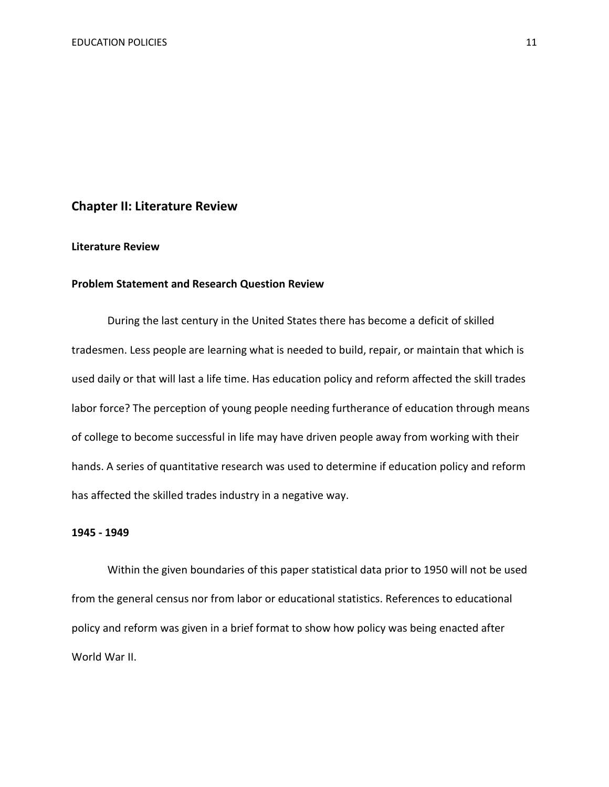## **Chapter II: Literature Review**

#### **Literature Review**

#### **Problem Statement and Research Question Review**

During the last century in the United States there has become a deficit of skilled tradesmen. Less people are learning what is needed to build, repair, or maintain that which is used daily or that will last a life time. Has education policy and reform affected the skill trades labor force? The perception of young people needing furtherance of education through means of college to become successful in life may have driven people away from working with their hands. A series of quantitative research was used to determine if education policy and reform has affected the skilled trades industry in a negative way.

#### **1945 - 1949**

Within the given boundaries of this paper statistical data prior to 1950 will not be used from the general census nor from labor or educational statistics. References to educational policy and reform was given in a brief format to show how policy was being enacted after World War II.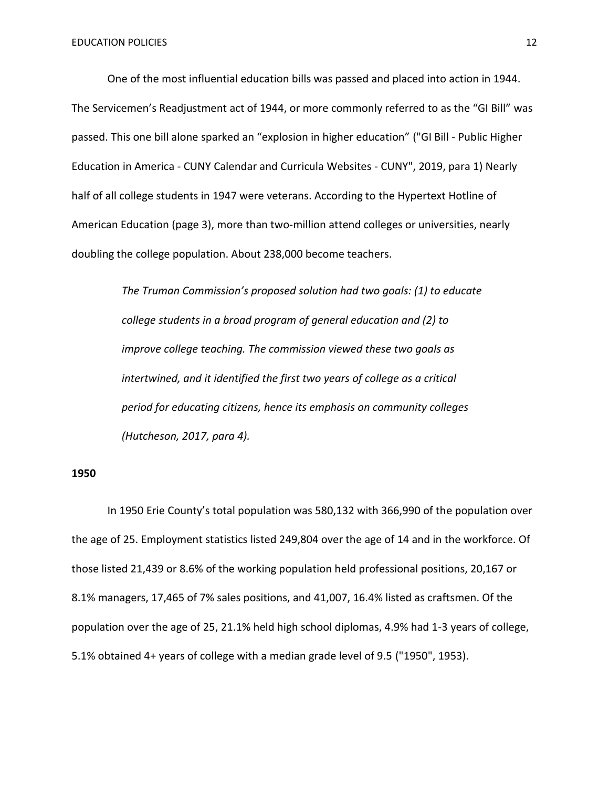One of the most influential education bills was passed and placed into action in 1944. The Servicemen's Readjustment act of 1944, or more commonly referred to as the "GI Bill" was passed. This one bill alone sparked an "explosion in higher education" ("GI Bill - Public Higher Education in America - CUNY Calendar and Curricula Websites - CUNY", 2019, para 1) Nearly half of all college students in 1947 were veterans. According to the Hypertext Hotline of American Education (page 3), more than two-million attend colleges or universities, nearly doubling the college population. About 238,000 become teachers.

> *The Truman Commission's proposed solution had two goals: (1) to educate college students in a broad program of general education and (2) to improve college teaching. The commission viewed these two goals as intertwined, and it identified the first two years of college as a critical period for educating citizens, hence its emphasis on community colleges (Hutcheson, 2017, para 4).*

#### **1950**

In 1950 Erie County's total population was 580,132 with 366,990 of the population over the age of 25. Employment statistics listed 249,804 over the age of 14 and in the workforce. Of those listed 21,439 or 8.6% of the working population held professional positions, 20,167 or 8.1% managers, 17,465 of 7% sales positions, and 41,007, 16.4% listed as craftsmen. Of the population over the age of 25, 21.1% held high school diplomas, 4.9% had 1-3 years of college, 5.1% obtained 4+ years of college with a median grade level of 9.5 ("1950", 1953).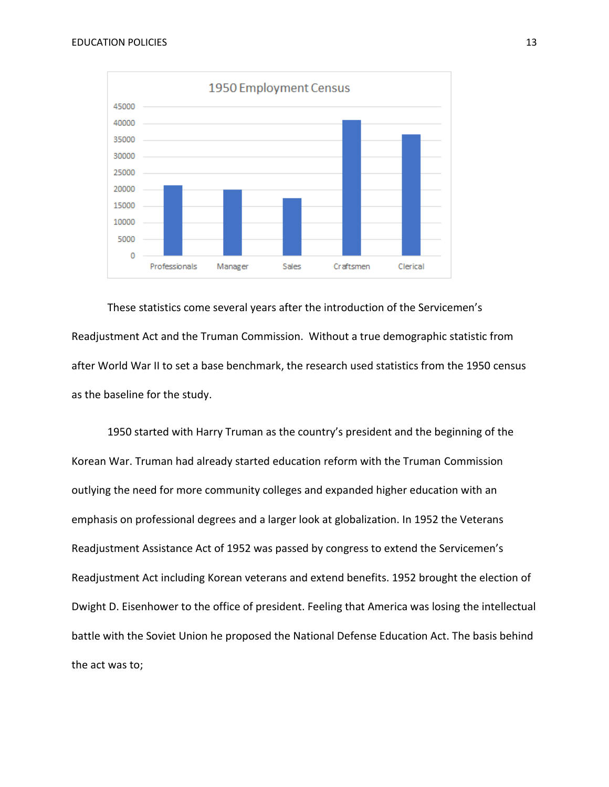

These statistics come several years after the introduction of the Servicemen's Readjustment Act and the Truman Commission. Without a true demographic statistic from after World War II to set a base benchmark, the research used statistics from the 1950 census as the baseline for the study.

1950 started with Harry Truman as the country's president and the beginning of the Korean War. Truman had already started education reform with the Truman Commission outlying the need for more community colleges and expanded higher education with an emphasis on professional degrees and a larger look at globalization. In 1952 the Veterans Readjustment Assistance Act of 1952 was passed by congress to extend the Servicemen's Readjustment Act including Korean veterans and extend benefits. 1952 brought the election of Dwight D. Eisenhower to the office of president. Feeling that America was losing the intellectual battle with the Soviet Union he proposed the National Defense Education Act. The basis behind the act was to;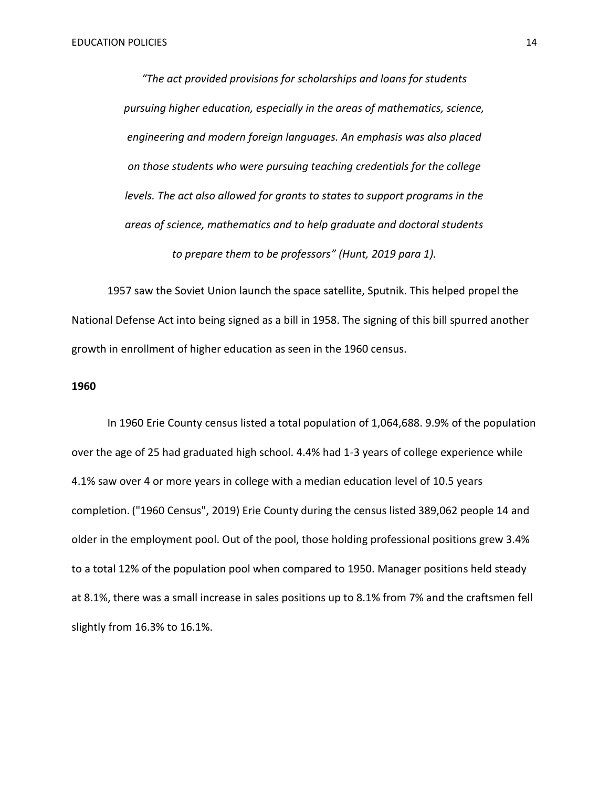*"The act provided provisions for scholarships and loans for students pursuing higher education, especially in the areas of mathematics, science, engineering and modern foreign languages. An emphasis was also placed on those students who were pursuing teaching credentials for the college levels. The act also allowed for grants to states to support programs in the areas of science, mathematics and to help graduate and doctoral students to prepare them to be professors" (Hunt, 2019 para 1).*

1957 saw the Soviet Union launch the space satellite, Sputnik. This helped propel the National Defense Act into being signed as a bill in 1958. The signing of this bill spurred another growth in enrollment of higher education as seen in the 1960 census.

#### **1960**

In 1960 Erie County census listed a total population of 1,064,688. 9.9% of the population over the age of 25 had graduated high school. 4.4% had 1-3 years of college experience while 4.1% saw over 4 or more years in college with a median education level of 10.5 years completion. ("1960 Census", 2019) Erie County during the census listed 389,062 people 14 and older in the employment pool. Out of the pool, those holding professional positions grew 3.4% to a total 12% of the population pool when compared to 1950. Manager positions held steady at 8.1%, there was a small increase in sales positions up to 8.1% from 7% and the craftsmen fell slightly from 16.3% to 16.1%.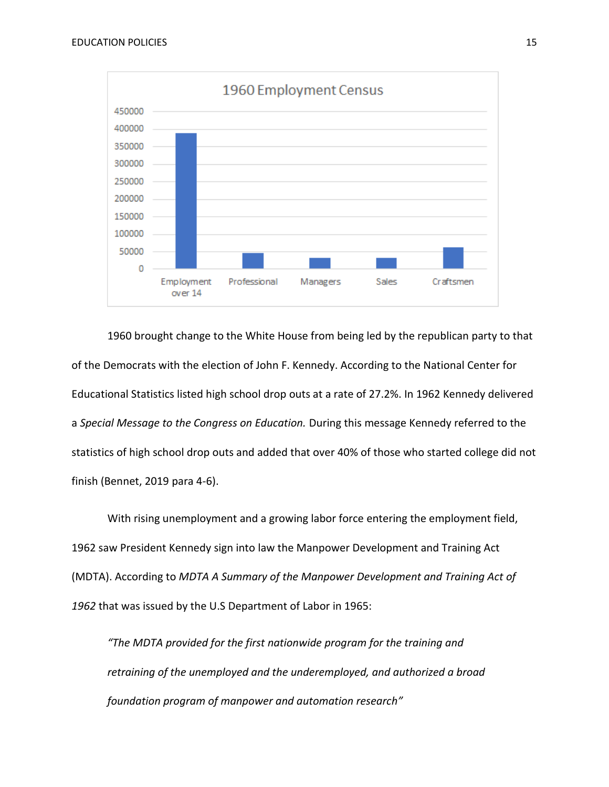

1960 brought change to the White House from being led by the republican party to that of the Democrats with the election of John F. Kennedy. According to the National Center for Educational Statistics listed high school drop outs at a rate of 27.2%. In 1962 Kennedy delivered a *Special Message to the Congress on Education.* During this message Kennedy referred to the statistics of high school drop outs and added that over 40% of those who started college did not finish (Bennet, 2019 para 4-6).

With rising unemployment and a growing labor force entering the employment field, 1962 saw President Kennedy sign into law the Manpower Development and Training Act (MDTA). According to *MDTA A Summary of the Manpower Development and Training Act of 1962* that was issued by the U.S Department of Labor in 1965:

*"The MDTA provided for the first nationwide program for the training and retraining of the unemployed and the underemployed, and authorized a broad foundation program of manpower and automation research"*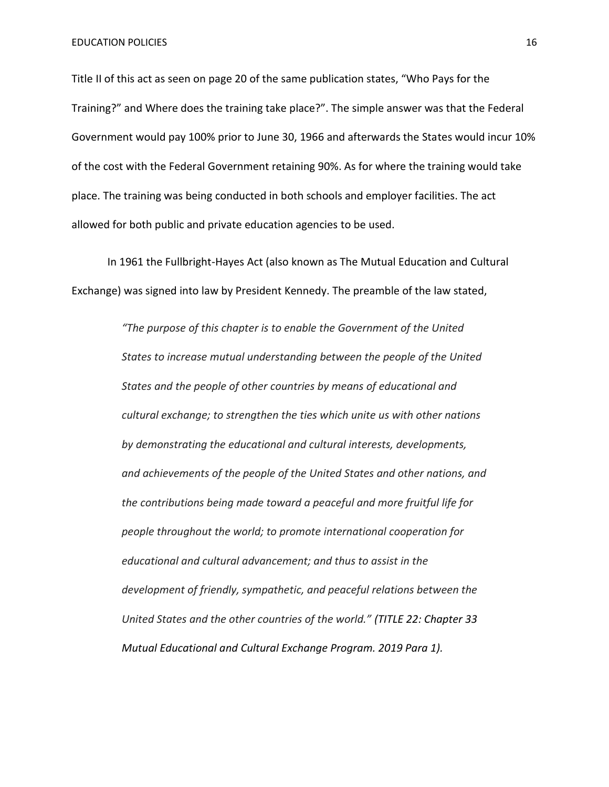Title II of this act as seen on page 20 of the same publication states, "Who Pays for the Training?" and Where does the training take place?". The simple answer was that the Federal Government would pay 100% prior to June 30, 1966 and afterwards the States would incur 10% of the cost with the Federal Government retaining 90%. As for where the training would take place. The training was being conducted in both schools and employer facilities. The act allowed for both public and private education agencies to be used.

In 1961 the Fullbright-Hayes Act (also known as The Mutual Education and Cultural Exchange) was signed into law by President Kennedy. The preamble of the law stated,

> *"The purpose of this chapter is to enable the Government of the United States to increase mutual understanding between the people of the United States and the people of other countries by means of educational and cultural exchange; to strengthen the ties which unite us with other nations by demonstrating the educational and cultural interests, developments, and achievements of the people of the United States and other nations, and the contributions being made toward a peaceful and more fruitful life for people throughout the world; to promote international cooperation for educational and cultural advancement; and thus to assist in the development of friendly, sympathetic, and peaceful relations between the United States and the other countries of the world." (TITLE 22: Chapter 33 Mutual Educational and Cultural Exchange Program. 2019 Para 1).*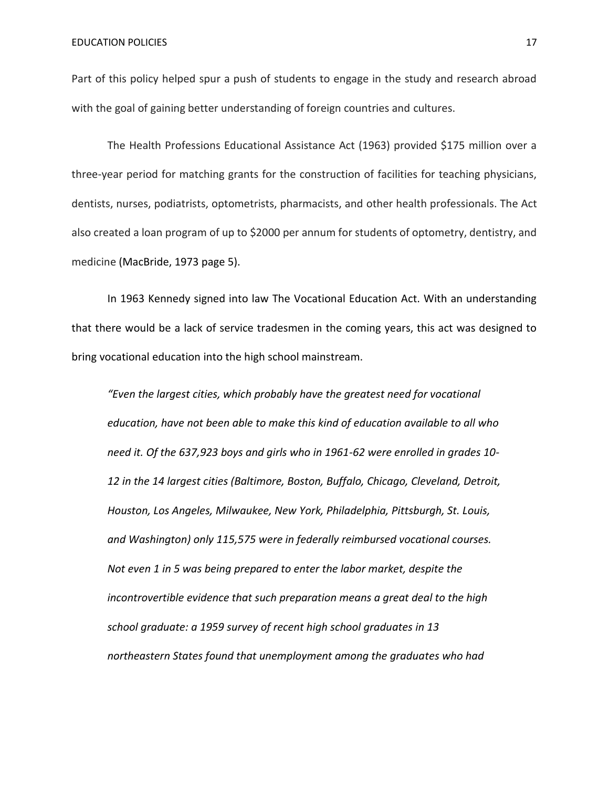Part of this policy helped spur a push of students to engage in the study and research abroad with the goal of gaining better understanding of foreign countries and cultures.

The Health Professions Educational Assistance Act (1963) provided \$175 million over a three-year period for matching grants for the construction of facilities for teaching physicians, dentists, nurses, podiatrists, optometrists, pharmacists, and other health professionals. The Act also created a loan program of up to \$2000 per annum for students of optometry, dentistry, and medicine (MacBride, 1973 page 5).

In 1963 Kennedy signed into law The Vocational Education Act. With an understanding that there would be a lack of service tradesmen in the coming years, this act was designed to bring vocational education into the high school mainstream.

*"Even the largest cities, which probably have the greatest need for vocational education, have not been able to make this kind of education available to all who need it. Of the 637,923 boys and girls who in 1961-62 were enrolled in grades 10- 12 in the 14 largest cities (Baltimore, Boston, Buffalo, Chicago, Cleveland, Detroit, Houston, Los Angeles, Milwaukee, New York, Philadelphia, Pittsburgh, St. Louis, and Washington) only 115,575 were in federally reimbursed vocational courses. Not even 1 in 5 was being prepared to enter the labor market, despite the incontrovertible evidence that such preparation means a great deal to the high school graduate: a 1959 survey of recent high school graduates in 13 northeastern States found that unemployment among the graduates who had*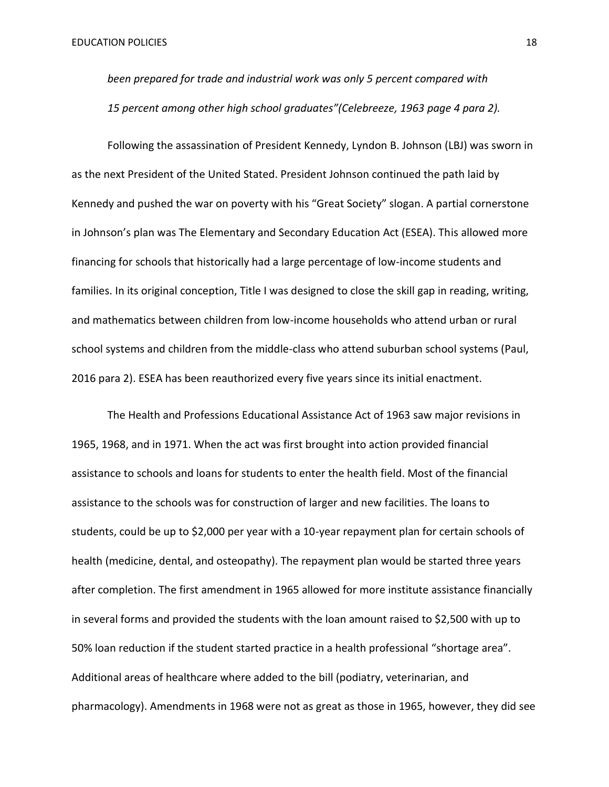*been prepared for trade and industrial work was only 5 percent compared with 15 percent among other high school graduates"(Celebreeze, 1963 page 4 para 2).*

Following the assassination of President Kennedy, Lyndon B. Johnson (LBJ) was sworn in as the next President of the United Stated. President Johnson continued the path laid by Kennedy and pushed the war on poverty with his "Great Society" slogan. A partial cornerstone in Johnson's plan was The Elementary and Secondary Education Act (ESEA). This allowed more financing for schools that historically had a large percentage of low-income students and families. In its original conception, Title I was designed to close the skill gap in reading, writing, and mathematics between children from low-income households who attend urban or rural school systems and children from the middle-class who attend suburban school systems (Paul, 2016 para 2). ESEA has been reauthorized every five years since its initial enactment.

The Health and Professions Educational Assistance Act of 1963 saw major revisions in 1965, 1968, and in 1971. When the act was first brought into action provided financial assistance to schools and loans for students to enter the health field. Most of the financial assistance to the schools was for construction of larger and new facilities. The loans to students, could be up to \$2,000 per year with a 10-year repayment plan for certain schools of health (medicine, dental, and osteopathy). The repayment plan would be started three years after completion. The first amendment in 1965 allowed for more institute assistance financially in several forms and provided the students with the loan amount raised to \$2,500 with up to 50% loan reduction if the student started practice in a health professional "shortage area". Additional areas of healthcare where added to the bill (podiatry, veterinarian, and pharmacology). Amendments in 1968 were not as great as those in 1965, however, they did see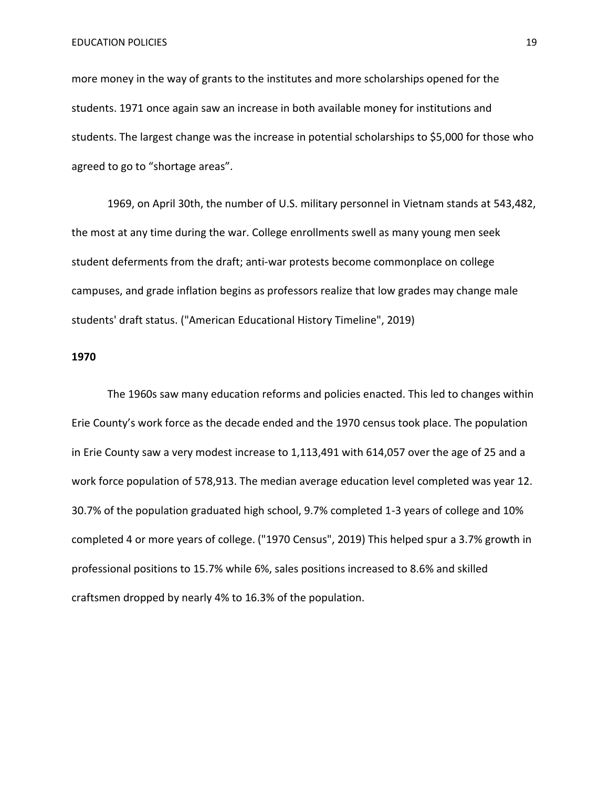more money in the way of grants to the institutes and more scholarships opened for the students. 1971 once again saw an increase in both available money for institutions and students. The largest change was the increase in potential scholarships to \$5,000 for those who agreed to go to "shortage areas".

1969, on April 30th, the number of U.S. military personnel in Vietnam stands at [543,482,](http://history-world.org/vietnam_war_statistics.htm) the most at any time during the war. College enrollments swell as many young men seek student deferments from the draft; [anti-war protests](http://www.history.com/topics/vietnam-war/vietnam-war-protests) become commonplace on college campuses, and [grade inflation](http://www.businessinsider.com/many-college-professors-started-using-grade-inflation-to-protect-bad-students-from-being-drafted-into-the-vietnam-war-2013-12) begins as professors realize that low grades may change male students' draft status. ("American Educational History Timeline", 2019)

#### **1970**

The 1960s saw many education reforms and policies enacted. This led to changes within Erie County's work force as the decade ended and the 1970 census took place. The population in Erie County saw a very modest increase to 1,113,491 with 614,057 over the age of 25 and a work force population of 578,913. The median average education level completed was year 12. 30.7% of the population graduated high school, 9.7% completed 1-3 years of college and 10% completed 4 or more years of college. ("1970 Census", 2019) This helped spur a 3.7% growth in professional positions to 15.7% while 6%, sales positions increased to 8.6% and skilled craftsmen dropped by nearly 4% to 16.3% of the population.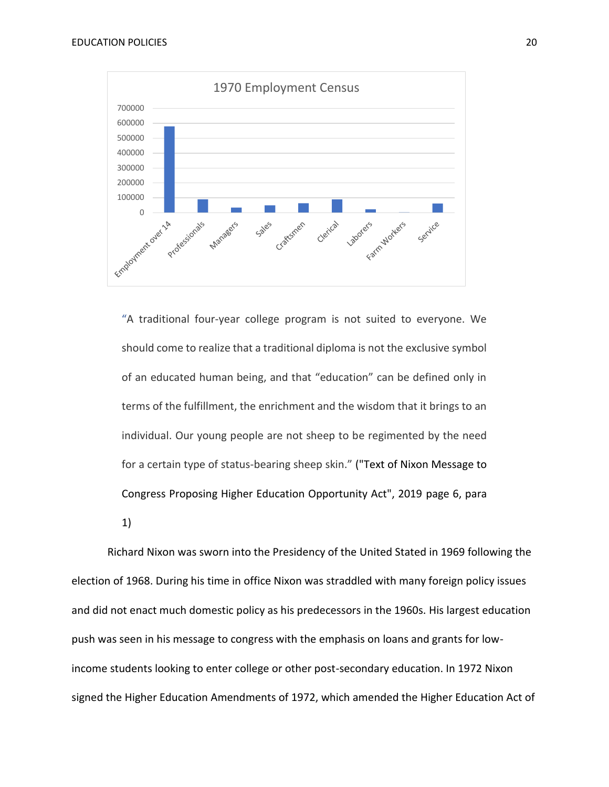

"A traditional four‐year college program is not suited to everyone. We should come to realize that a traditional diploma is not the exclusive symbol of an educated human being, and that "education" can be defined only in terms of the fulfillment, the enrichment and the wisdom that it brings to an individual. Our young people are not sheep to be regimented by the need for a certain type of status‐bearing sheep skin." ("Text of Nixon Message to Congress Proposing Higher Education Opportunity Act", 2019 page 6, para 1)

Richard Nixon was sworn into the Presidency of the United Stated in 1969 following the election of 1968. During his time in office Nixon was straddled with many foreign policy issues and did not enact much domestic policy as his predecessors in the 1960s. His largest education push was seen in his message to congress with the emphasis on loans and grants for lowincome students looking to enter college or other post-secondary education. In 1972 Nixon signed the Higher Education Amendments of 1972, which amended the Higher Education Act of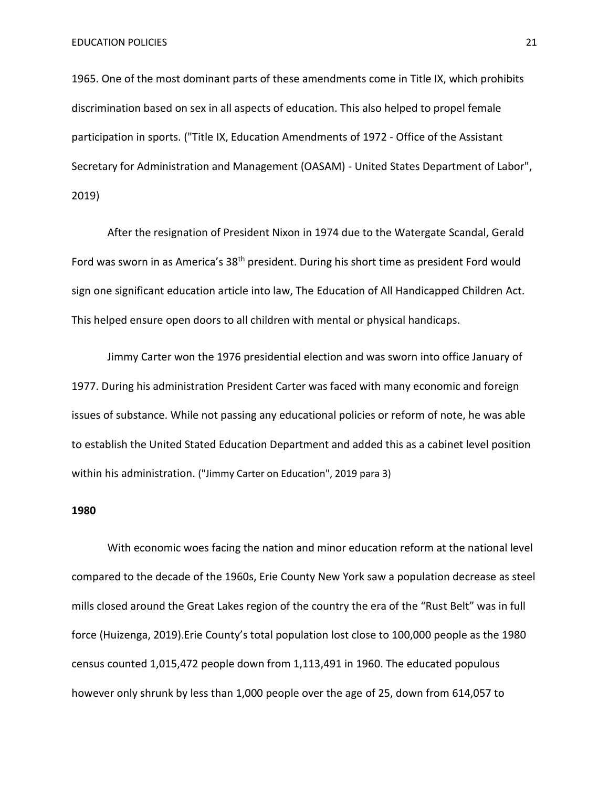1965. One of the most dominant parts of these amendments come in Title IX, which prohibits discrimination based on sex in all aspects of education. This also helped to propel female participation in sports. ("Title IX, Education Amendments of 1972 - Office of the Assistant Secretary for Administration and Management (OASAM) - United States Department of Labor", 2019)

After the resignation of President Nixon in 1974 due to the Watergate Scandal, Gerald Ford was sworn in as America's 38<sup>th</sup> president. During his short time as president Ford would sign one significant education article into law, The [Education of All Handicapped Children Act](https://www2.ed.gov/about/offices/list/osers/idea35/history/index_pg10.html). This helped ensure open doors to all children with mental or physical handicaps.

Jimmy Carter won the 1976 presidential election and was sworn into office January of 1977. During his administration President Carter was faced with many economic and foreign issues of substance. While not passing any educational policies or reform of note, he was able to establish the United Stated Education Department and added this as a cabinet level position within his administration. ("Jimmy Carter on Education", 2019 para 3)

#### **1980**

With economic woes facing the nation and minor education reform at the national level compared to the decade of the 1960s, Erie County New York saw a population decrease as steel mills closed around the Great Lakes region of the country the era of the "Rust Belt" was in full force (Huizenga, 2019).Erie County's total population lost close to 100,000 people as the 1980 census counted 1,015,472 people down from 1,113,491 in 1960. The educated populous however only shrunk by less than 1,000 people over the age of 25, down from 614,057 to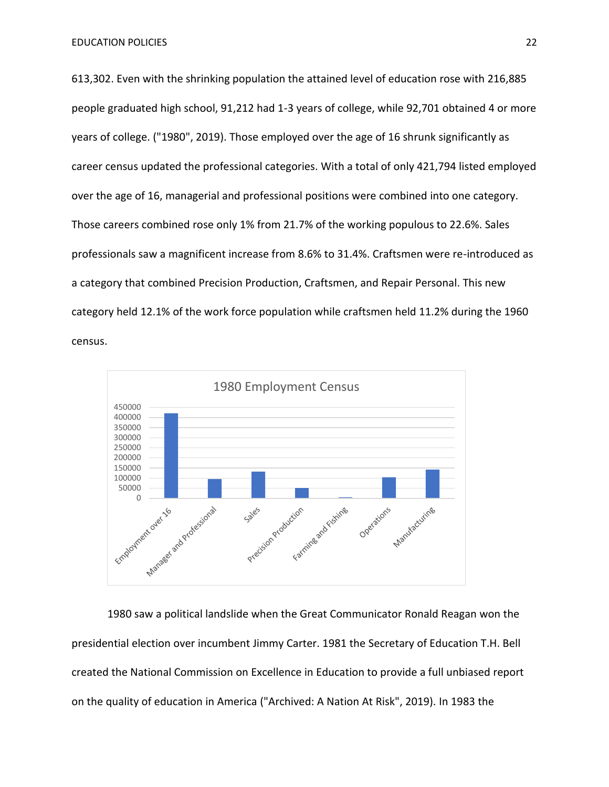613,302. Even with the shrinking population the attained level of education rose with 216,885 people graduated high school, 91,212 had 1-3 years of college, while 92,701 obtained 4 or more years of college. ("1980", 2019). Those employed over the age of 16 shrunk significantly as career census updated the professional categories. With a total of only 421,794 listed employed over the age of 16, managerial and professional positions were combined into one category. Those careers combined rose only 1% from 21.7% of the working populous to 22.6%. Sales professionals saw a magnificent increase from 8.6% to 31.4%. Craftsmen were re-introduced as a category that combined Precision Production, Craftsmen, and Repair Personal. This new category held 12.1% of the work force population while craftsmen held 11.2% during the 1960 census.



1980 saw a political landslide when the Great Communicator Ronald Reagan won the presidential election over incumbent Jimmy Carter. 1981 the Secretary of Education T.H. Bell created the National Commission on Excellence in Education to provide a full unbiased report on the quality of education in America ("Archived: A Nation At Risk", 2019). In 1983 the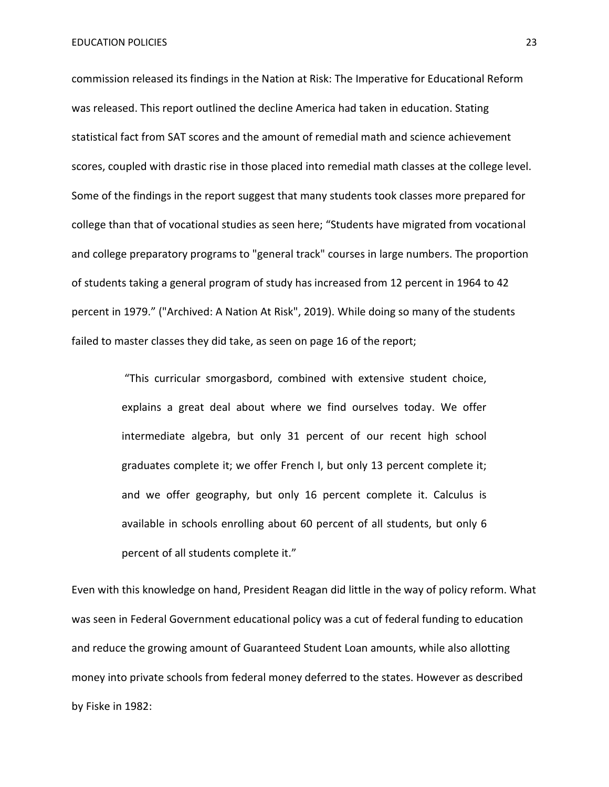EDUCATION POLICIES 23

commission released its findings in the Nation at Risk: The Imperative for Educational Reform was released. This report outlined the decline America had taken in education. Stating statistical fact from SAT scores and the amount of remedial math and science achievement scores, coupled with drastic rise in those placed into remedial math classes at the college level. Some of the findings in the report suggest that many students took classes more prepared for college than that of vocational studies as seen here; "Students have migrated from vocational and college preparatory programs to "general track" courses in large numbers. The proportion of students taking a general program of study has increased from 12 percent in 1964 to 42 percent in 1979." ("Archived: A Nation At Risk", 2019). While doing so many of the students failed to master classes they did take, as seen on page 16 of the report;

> "This curricular smorgasbord, combined with extensive student choice, explains a great deal about where we find ourselves today. We offer intermediate algebra, but only 31 percent of our recent high school graduates complete it; we offer French I, but only 13 percent complete it; and we offer geography, but only 16 percent complete it. Calculus is available in schools enrolling about 60 percent of all students, but only 6 percent of all students complete it."

Even with this knowledge on hand, President Reagan did little in the way of policy reform. What was seen in Federal Government educational policy was a cut of federal funding to education and reduce the growing amount of Guaranteed Student Loan amounts, while also allotting money into private schools from federal money deferred to the states. However as described by Fiske in 1982: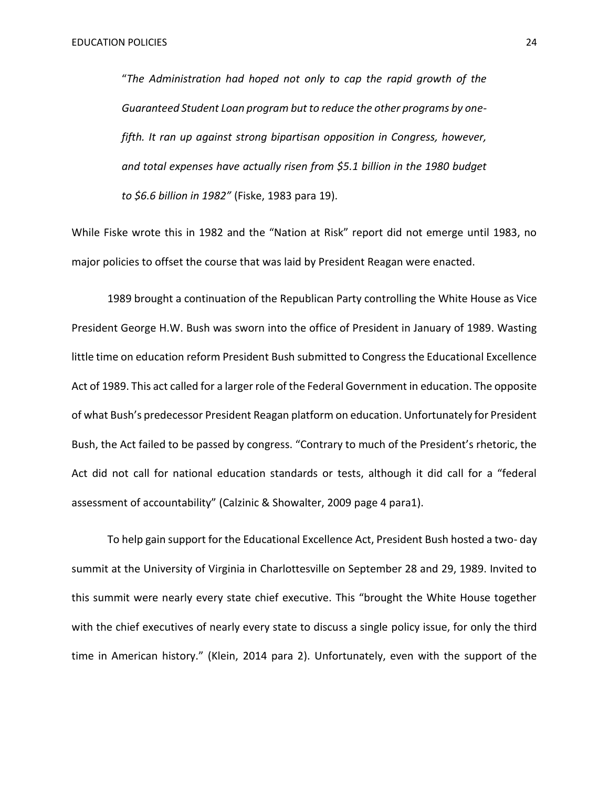"*The Administration had hoped not only to cap the rapid growth of the Guaranteed Student Loan program but to reduce the other programs by onefifth. It ran up against strong bipartisan opposition in Congress, however, and total expenses have actually risen from \$5.1 billion in the 1980 budget to \$6.6 billion in 1982"* (Fiske, 1983 para 19).

While Fiske wrote this in 1982 and the "Nation at Risk" report did not emerge until 1983, no major policies to offset the course that was laid by President Reagan were enacted.

1989 brought a continuation of the Republican Party controlling the White House as Vice President George H.W. Bush was sworn into the office of President in January of 1989. Wasting little time on education reform President Bush submitted to Congress the Educational Excellence Act of 1989. This act called for a larger role of the Federal Government in education. The opposite of what Bush's predecessor President Reagan platform on education. Unfortunately for President Bush, the Act failed to be passed by congress. "Contrary to much of the President's rhetoric, the Act did not call for national education standards or tests, although it did call for a "federal assessment of accountability" (Calzinic & Showalter, 2009 page 4 para1).

To help gain support for the Educational Excellence Act, President Bush hosted a two- day summit at the University of Virginia in Charlottesville on September 28 and 29, 1989. Invited to this summit were nearly every state chief executive. This "brought the White House together with the chief executives of nearly every state to discuss a single policy issue, for only the third time in American history." (Klein, 2014 para 2). Unfortunately, even with the support of the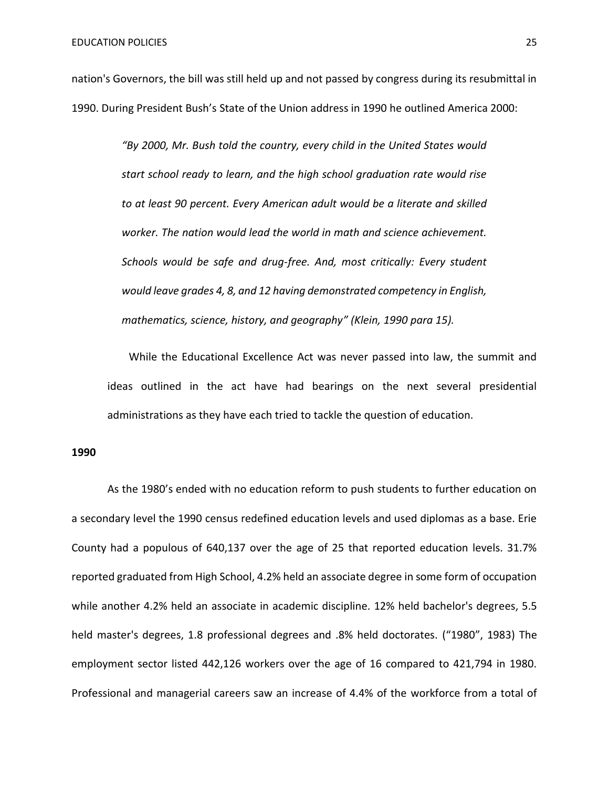nation's Governors, the bill was still held up and not passed by congress during its resubmittal in 1990. During President Bush's State of the Union address in 1990 he outlined America 2000:

> *"By 2000, Mr. Bush told the country, every child in the United States would start school ready to learn, and the high school graduation rate would rise to at least 90 percent. Every American adult would be a literate and skilled worker. The nation would lead the world in math and science achievement. Schools would be safe and drug-free. And, most critically: Every student would leave grades 4, 8, and 12 having demonstrated competency in English, mathematics, science, history, and geography" (Klein, 1990 para 15).*

While the Educational Excellence Act was never passed into law, the summit and ideas outlined in the act have had bearings on the next several presidential administrations as they have each tried to tackle the question of education.

#### **1990**

As the 1980's ended with no education reform to push students to further education on a secondary level the 1990 census redefined education levels and used diplomas as a base. Erie County had a populous of 640,137 over the age of 25 that reported education levels. 31.7% reported graduated from High School, 4.2% held an associate degree in some form of occupation while another 4.2% held an associate in academic discipline. 12% held bachelor's degrees, 5.5 held master's degrees, 1.8 professional degrees and .8% held doctorates. ("1980", 1983) The employment sector listed 442,126 workers over the age of 16 compared to 421,794 in 1980. Professional and managerial careers saw an increase of 4.4% of the workforce from a total of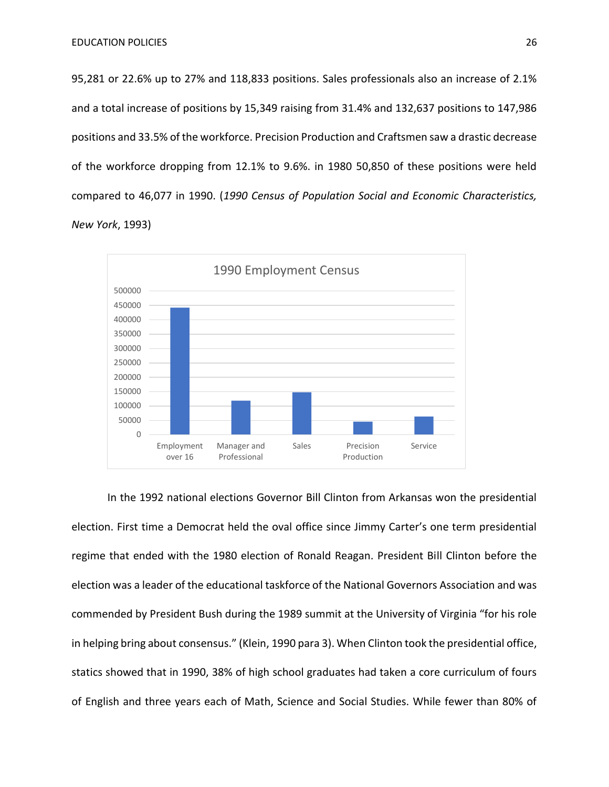95,281 or 22.6% up to 27% and 118,833 positions. Sales professionals also an increase of 2.1% and a total increase of positions by 15,349 raising from 31.4% and 132,637 positions to 147,986 positions and 33.5% of the workforce. Precision Production and Craftsmen saw a drastic decrease of the workforce dropping from 12.1% to 9.6%. in 1980 50,850 of these positions were held compared to 46,077 in 1990. (*1990 Census of Population Social and Economic Characteristics, New York*, 1993)



In the 1992 national elections Governor Bill Clinton from Arkansas won the presidential election. First time a Democrat held the oval office since Jimmy Carter's one term presidential regime that ended with the 1980 election of Ronald Reagan. President Bill Clinton before the election was a leader of the educational taskforce of the National Governors Association and was commended by President Bush during the 1989 summit at the University of Virginia "for his role in helping bring about consensus." (Klein, 1990 para 3). When Clinton took the presidential office, statics showed that in 1990, 38% of high school graduates had taken a core curriculum of fours of English and three years each of Math, Science and Social Studies. While fewer than 80% of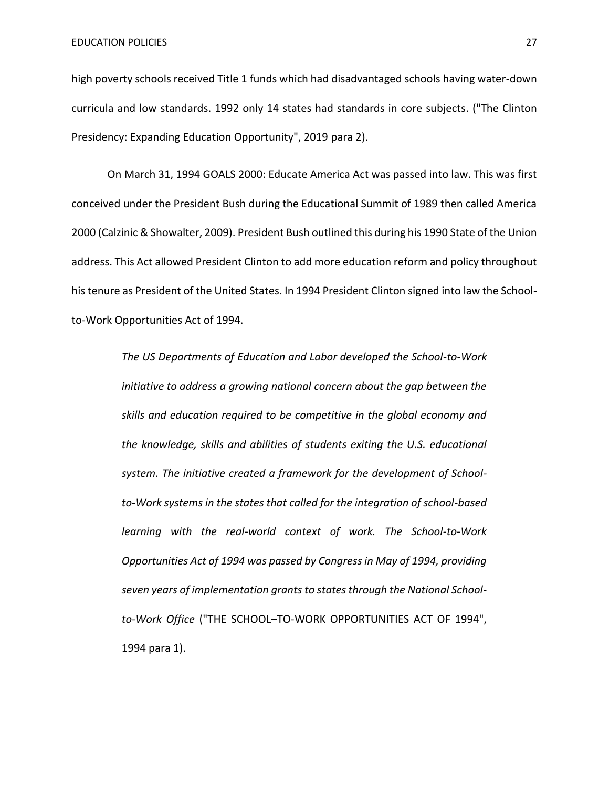high poverty schools received Title 1 funds which had disadvantaged schools having water-down curricula and low standards. 1992 only 14 states had standards in core subjects. ("The Clinton Presidency: Expanding Education Opportunity", 2019 para 2).

On March 31, 1994 GOALS 2000: Educate America Act was passed into law. This was first conceived under the President Bush during the Educational Summit of 1989 then called America 2000 (Calzinic & Showalter, 2009). President Bush outlined this during his 1990 State of the Union address. This Act allowed President Clinton to add more education reform and policy throughout his tenure as President of the United States. In 1994 President Clinton signed into law the Schoolto-Work Opportunities Act of 1994.

> *The US Departments of Education and Labor developed the School-to-Work initiative to address a growing national concern about the gap between the skills and education required to be competitive in the global economy and the knowledge, skills and abilities of students exiting the U.S. educational system. The initiative created a framework for the development of Schoolto-Work systems in the states that called for the integration of school-based learning with the real-world context of work. The School-to-Work Opportunities Act of 1994 was passed by Congress in May of 1994, providing seven years of implementation grants to states through the National Schoolto-Work Office* ("THE SCHOOL–TO-WORK OPPORTUNITIES ACT OF 1994", 1994 para 1).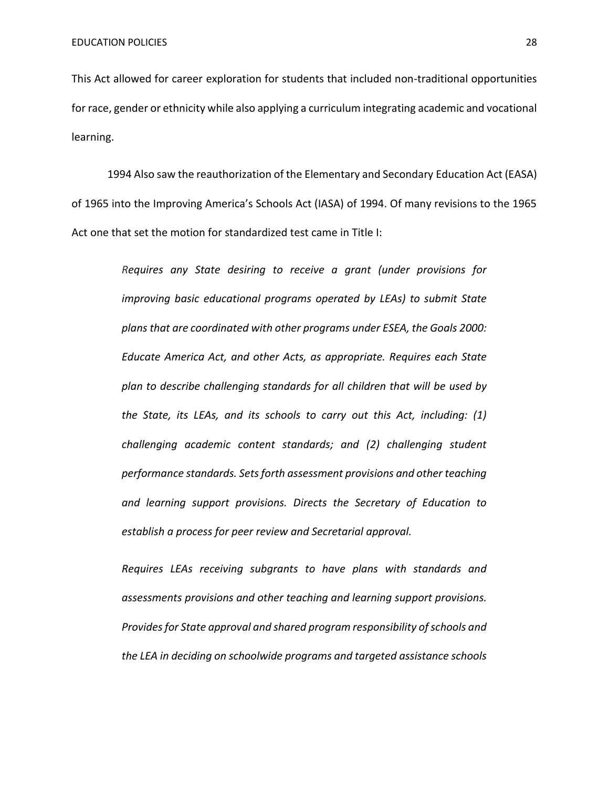This Act allowed for career exploration for students that included non-traditional opportunities for race, gender or ethnicity while also applying a curriculum integrating academic and vocational learning.

1994 Also saw the reauthorization of the Elementary and Secondary Education Act (EASA) of 1965 into the Improving America's Schools Act (IASA) of 1994. Of many revisions to the 1965 Act one that set the motion for standardized test came in Title I:

> *Requires any State desiring to receive a grant (under provisions for improving basic educational programs operated by LEAs) to submit State plans that are coordinated with other programs under ESEA, the Goals 2000: Educate America Act, and other Acts, as appropriate. Requires each State plan to describe challenging standards for all children that will be used by the State, its LEAs, and its schools to carry out this Act, including: (1) challenging academic content standards; and (2) challenging student performance standards. Sets forth assessment provisions and other teaching and learning support provisions. Directs the Secretary of Education to establish a process for peer review and Secretarial approval.*

> *Requires LEAs receiving subgrants to have plans with standards and assessments provisions and other teaching and learning support provisions. Provides for State approval and shared program responsibility of schools and the LEA in deciding on schoolwide programs and targeted assistance schools*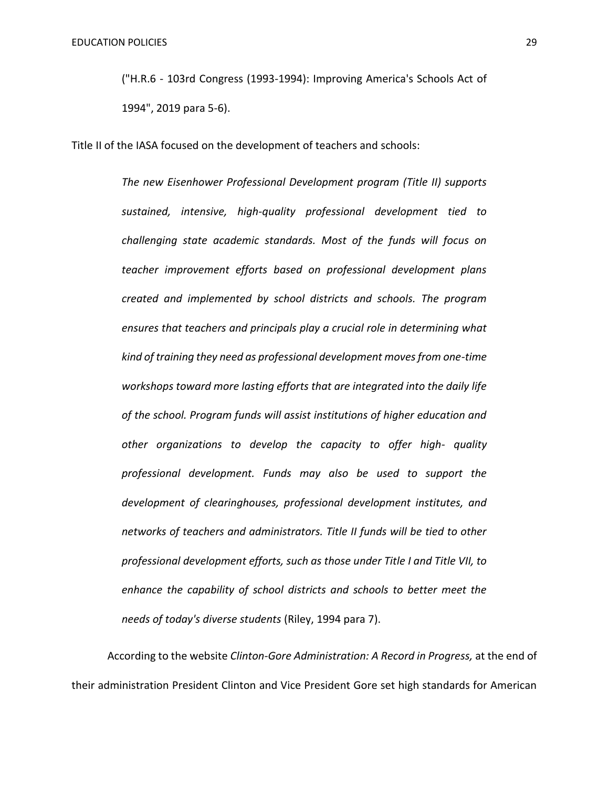("H.R.6 - 103rd Congress (1993-1994): Improving America's Schools Act of 1994", 2019 para 5-6).

Title II of the IASA focused on the development of teachers and schools:

*The new Eisenhower Professional Development program (Title II) supports sustained, intensive, high-quality professional development tied to challenging state academic standards. Most of the funds will focus on teacher improvement efforts based on professional development plans created and implemented by school districts and schools. The program ensures that teachers and principals play a crucial role in determining what kind of training they need as professional development moves from one-time workshops toward more lasting efforts that are integrated into the daily life of the school. Program funds will assist institutions of higher education and other organizations to develop the capacity to offer high- quality professional development. Funds may also be used to support the development of clearinghouses, professional development institutes, and networks of teachers and administrators. Title II funds will be tied to other professional development efforts, such as those under Title I and Title VII, to enhance the capability of school districts and schools to better meet the needs of today's diverse students* (Riley, 1994 para 7).

According to the website *Clinton-Gore Administration: A Record in Progress,* at the end of their administration President Clinton and Vice President Gore set high standards for American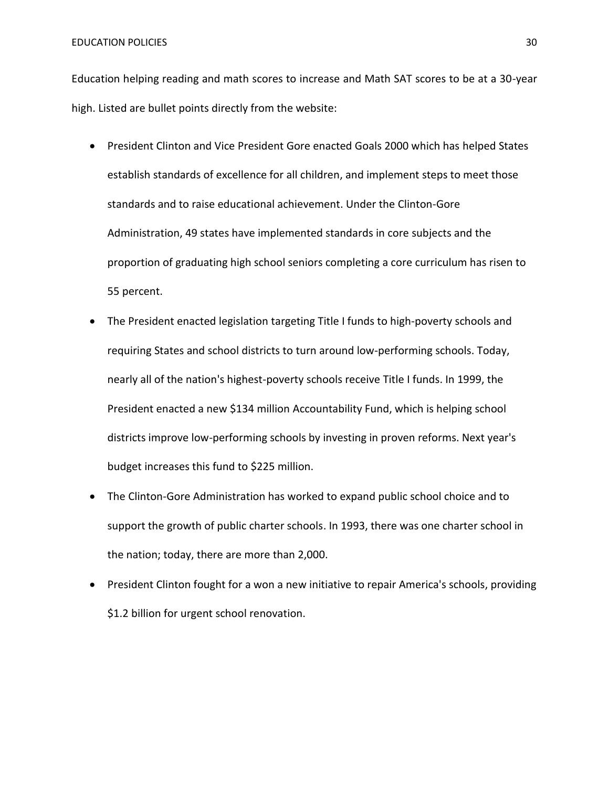#### EDUCATION POLICIES 30

Education helping reading and math scores to increase and Math SAT scores to be at a 30-year high. Listed are bullet points directly from the website:

- President Clinton and Vice President Gore enacted Goals 2000 which has helped States establish standards of excellence for all children, and implement steps to meet those standards and to raise educational achievement. Under the Clinton-Gore Administration, 49 states have implemented standards in core subjects and the proportion of graduating high school seniors completing a core curriculum has risen to 55 percent.
- The President enacted legislation targeting Title I funds to high-poverty schools and requiring States and school districts to turn around low-performing schools. Today, nearly all of the nation's highest-poverty schools receive Title I funds. In 1999, the President enacted a new \$134 million Accountability Fund, which is helping school districts improve low-performing schools by investing in proven reforms. Next year's budget increases this fund to \$225 million.
- The Clinton-Gore Administration has worked to expand public school choice and to support the growth of public charter schools. In 1993, there was one charter school in the nation; today, there are more than 2,000.
- President Clinton fought for a won a new initiative to repair America's schools, providing \$1.2 billion for urgent school renovation.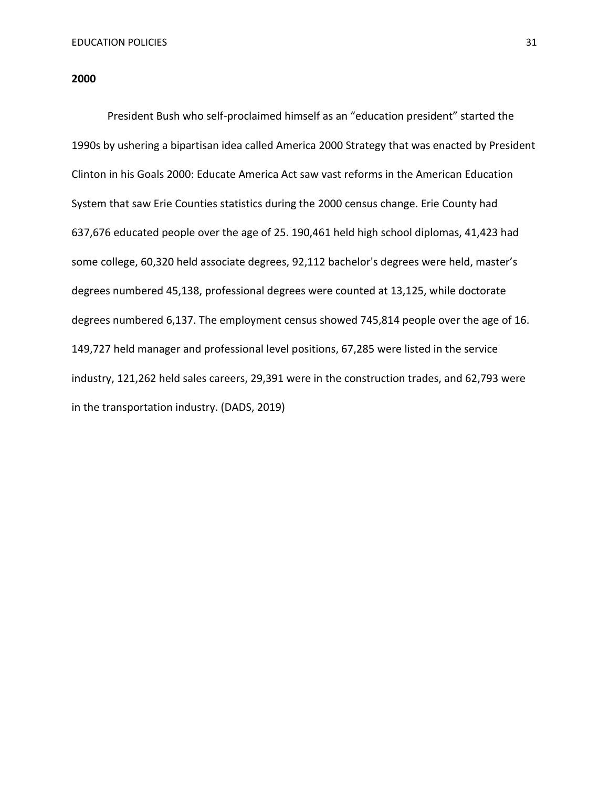**2000**

President Bush who self-proclaimed himself as an "education president" started the 1990s by ushering a bipartisan idea called America 2000 Strategy that was enacted by President Clinton in his Goals 2000: Educate America Act saw vast reforms in the American Education System that saw Erie Counties statistics during the 2000 census change. Erie County had 637,676 educated people over the age of 25. 190,461 held high school diplomas, 41,423 had some college, 60,320 held associate degrees, 92,112 bachelor's degrees were held, master's degrees numbered 45,138, professional degrees were counted at 13,125, while doctorate degrees numbered 6,137. The employment census showed 745,814 people over the age of 16. 149,727 held manager and professional level positions, 67,285 were listed in the service industry, 121,262 held sales careers, 29,391 were in the construction trades, and 62,793 were in the transportation industry. (DADS, 2019)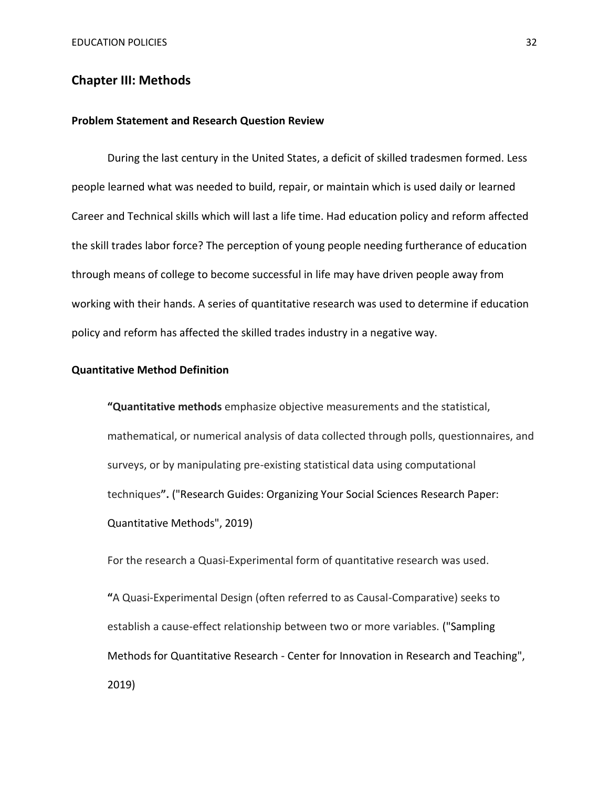## **Chapter III: Methods**

#### **Problem Statement and Research Question Review**

During the last century in the United States, a deficit of skilled tradesmen formed. Less people learned what was needed to build, repair, or maintain which is used daily or learned Career and Technical skills which will last a life time. Had education policy and reform affected the skill trades labor force? The perception of young people needing furtherance of education through means of college to become successful in life may have driven people away from working with their hands. A series of quantitative research was used to determine if education policy and reform has affected the skilled trades industry in a negative way.

### **Quantitative Method Definition**

**"Quantitative methods** emphasize objective measurements and the statistical, mathematical, or numerical analysis of data collected through polls, questionnaires, and surveys, or by manipulating pre-existing statistical data using computational techniques**".** ("Research Guides: Organizing Your Social Sciences Research Paper: Quantitative Methods", 2019)

For the research a Quasi-Experimental form of quantitative research was used.

**"**A Quasi-Experimental Design (often referred to as Causal-Comparative) seeks to establish a cause-effect relationship between two or more variables. ("Sampling Methods for Quantitative Research - Center for Innovation in Research and Teaching", 2019)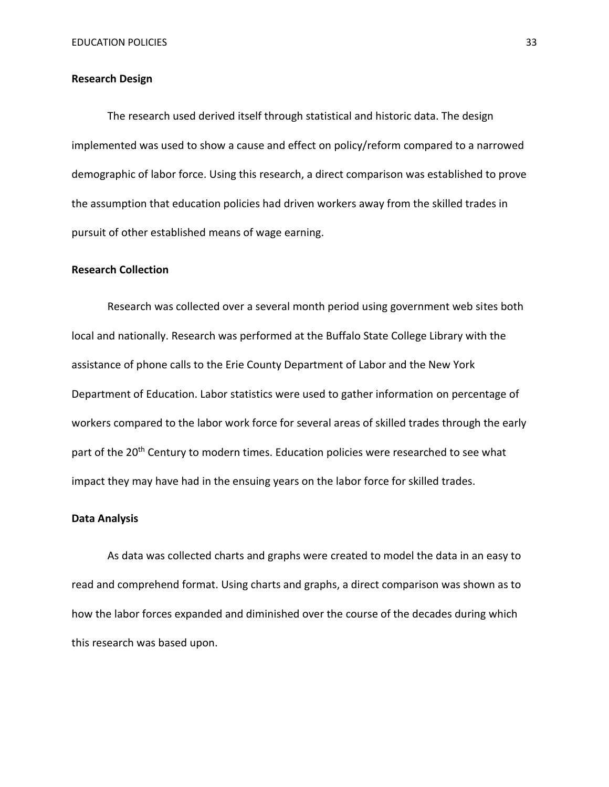#### **Research Design**

The research used derived itself through statistical and historic data. The design implemented was used to show a cause and effect on policy/reform compared to a narrowed demographic of labor force. Using this research, a direct comparison was established to prove the assumption that education policies had driven workers away from the skilled trades in pursuit of other established means of wage earning.

## **Research Collection**

Research was collected over a several month period using government web sites both local and nationally. Research was performed at the Buffalo State College Library with the assistance of phone calls to the Erie County Department of Labor and the New York Department of Education. Labor statistics were used to gather information on percentage of workers compared to the labor work force for several areas of skilled trades through the early part of the 20<sup>th</sup> Century to modern times. Education policies were researched to see what impact they may have had in the ensuing years on the labor force for skilled trades.

#### **Data Analysis**

As data was collected charts and graphs were created to model the data in an easy to read and comprehend format. Using charts and graphs, a direct comparison was shown as to how the labor forces expanded and diminished over the course of the decades during which this research was based upon.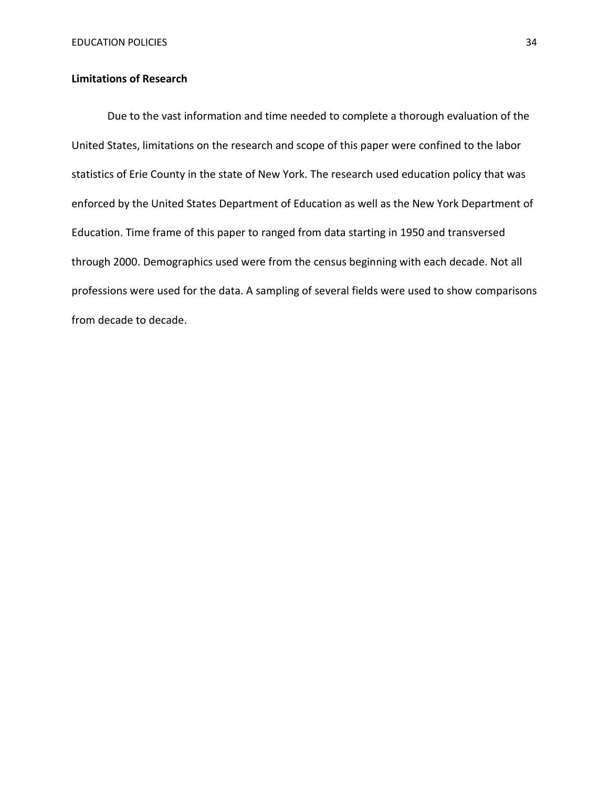## **Limitations of Research**

Due to the vast information and time needed to complete a thorough evaluation of the United States, limitations on the research and scope of this paper were confined to the labor statistics of Erie County in the state of New York. The research used education policy that was enforced by the United States Department of Education as well as the New York Department of Education. Time frame of this paper to ranged from data starting in 1950 and transversed through 2000. Demographics used were from the census beginning with each decade. Not all professions were used for the data. A sampling of several fields were used to show comparisons from decade to decade.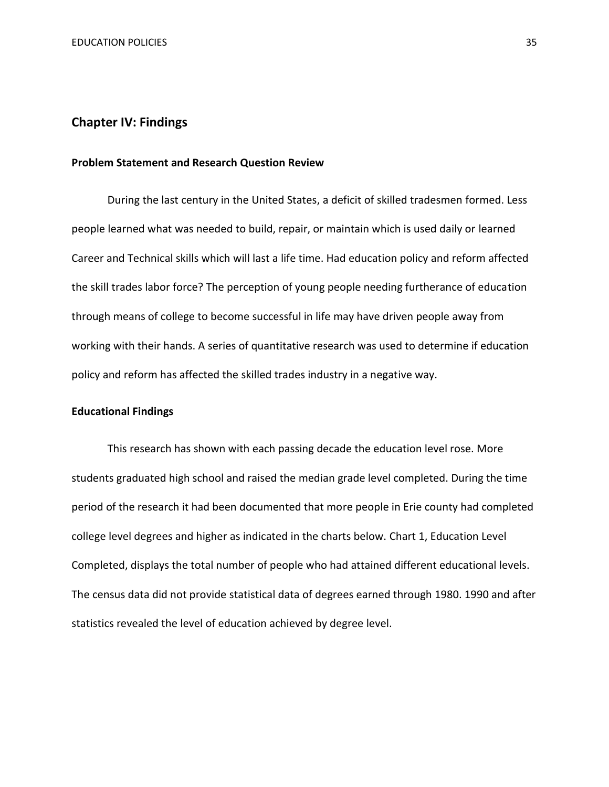## **Chapter IV: Findings**

#### **Problem Statement and Research Question Review**

During the last century in the United States, a deficit of skilled tradesmen formed. Less people learned what was needed to build, repair, or maintain which is used daily or learned Career and Technical skills which will last a life time. Had education policy and reform affected the skill trades labor force? The perception of young people needing furtherance of education through means of college to become successful in life may have driven people away from working with their hands. A series of quantitative research was used to determine if education policy and reform has affected the skilled trades industry in a negative way.

#### **Educational Findings**

This research has shown with each passing decade the education level rose. More students graduated high school and raised the median grade level completed. During the time period of the research it had been documented that more people in Erie county had completed college level degrees and higher as indicated in the charts below. Chart 1, Education Level Completed, displays the total number of people who had attained different educational levels. The census data did not provide statistical data of degrees earned through 1980. 1990 and after statistics revealed the level of education achieved by degree level.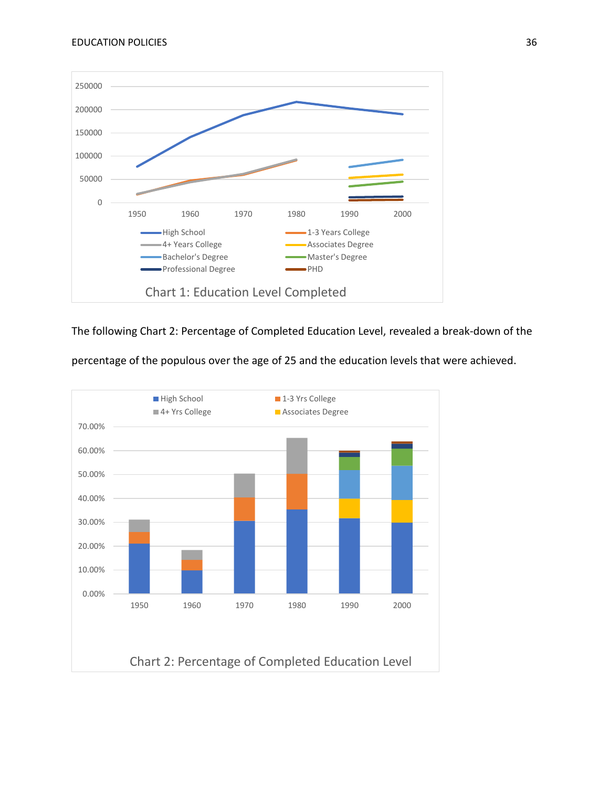

The following Chart 2: Percentage of Completed Education Level, revealed a break-down of the



percentage of the populous over the age of 25 and the education levels that were achieved.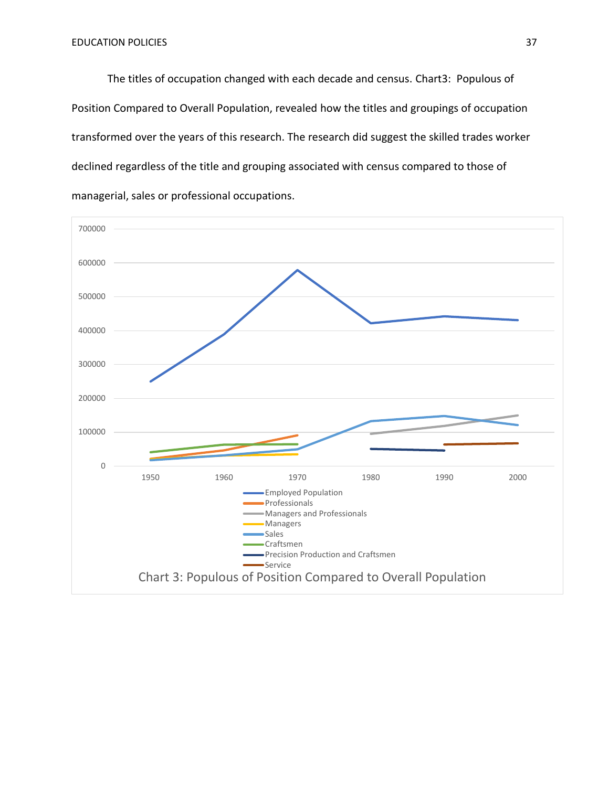The titles of occupation changed with each decade and census. Chart3: Populous of Position Compared to Overall Population, revealed how the titles and groupings of occupation transformed over the years of this research. The research did suggest the skilled trades worker declined regardless of the title and grouping associated with census compared to those of managerial, sales or professional occupations.

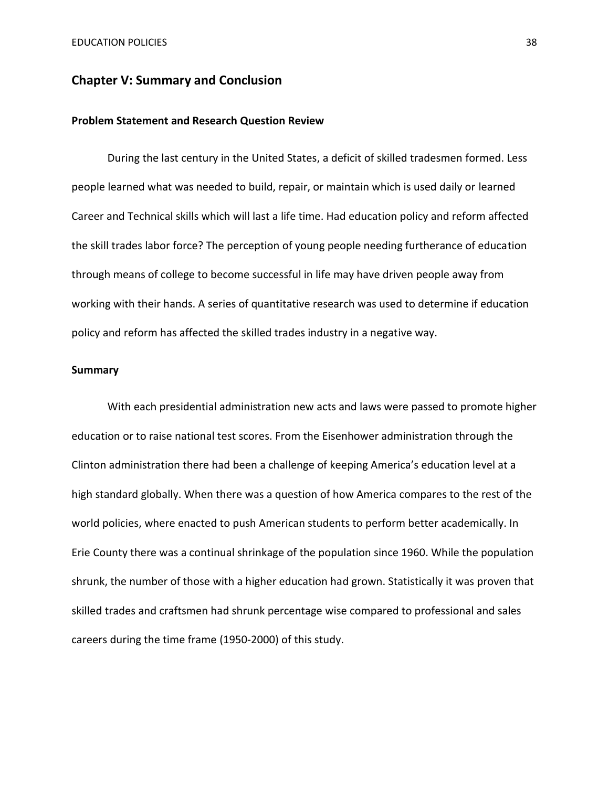## **Chapter V: Summary and Conclusion**

#### **Problem Statement and Research Question Review**

During the last century in the United States, a deficit of skilled tradesmen formed. Less people learned what was needed to build, repair, or maintain which is used daily or learned Career and Technical skills which will last a life time. Had education policy and reform affected the skill trades labor force? The perception of young people needing furtherance of education through means of college to become successful in life may have driven people away from working with their hands. A series of quantitative research was used to determine if education policy and reform has affected the skilled trades industry in a negative way.

#### **Summary**

With each presidential administration new acts and laws were passed to promote higher education or to raise national test scores. From the Eisenhower administration through the Clinton administration there had been a challenge of keeping America's education level at a high standard globally. When there was a question of how America compares to the rest of the world policies, where enacted to push American students to perform better academically. In Erie County there was a continual shrinkage of the population since 1960. While the population shrunk, the number of those with a higher education had grown. Statistically it was proven that skilled trades and craftsmen had shrunk percentage wise compared to professional and sales careers during the time frame (1950-2000) of this study.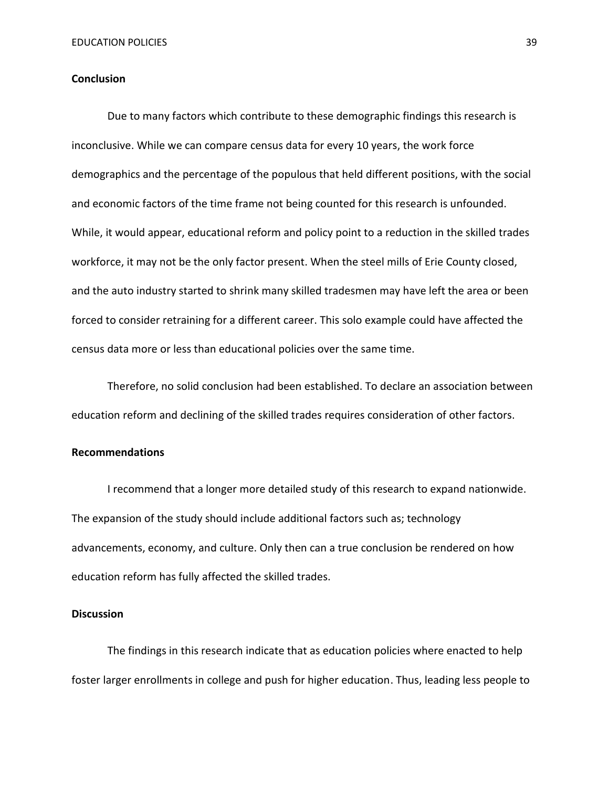#### **Conclusion**

Due to many factors which contribute to these demographic findings this research is inconclusive. While we can compare census data for every 10 years, the work force demographics and the percentage of the populous that held different positions, with the social and economic factors of the time frame not being counted for this research is unfounded. While, it would appear, educational reform and policy point to a reduction in the skilled trades workforce, it may not be the only factor present. When the steel mills of Erie County closed, and the auto industry started to shrink many skilled tradesmen may have left the area or been forced to consider retraining for a different career. This solo example could have affected the census data more or less than educational policies over the same time.

Therefore, no solid conclusion had been established. To declare an association between education reform and declining of the skilled trades requires consideration of other factors.

#### **Recommendations**

I recommend that a longer more detailed study of this research to expand nationwide. The expansion of the study should include additional factors such as; technology advancements, economy, and culture. Only then can a true conclusion be rendered on how education reform has fully affected the skilled trades.

#### **Discussion**

The findings in this research indicate that as education policies where enacted to help foster larger enrollments in college and push for higher education. Thus, leading less people to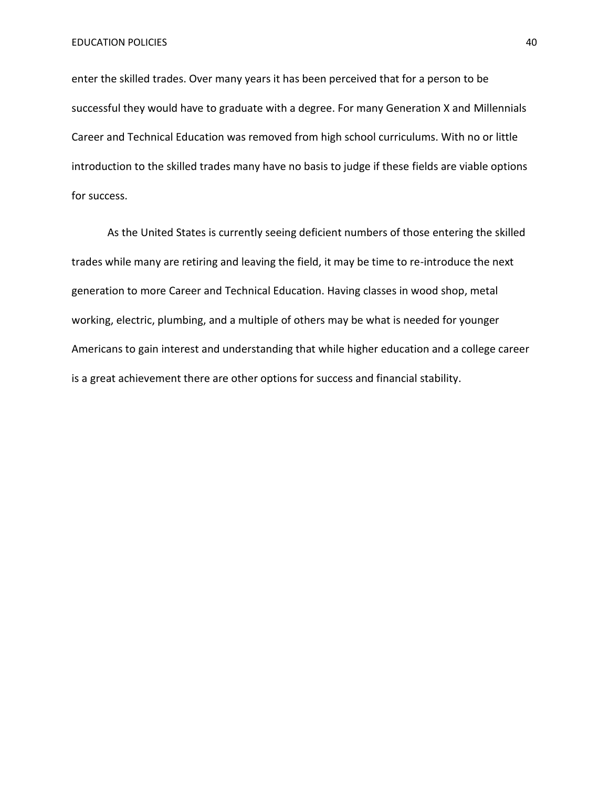enter the skilled trades. Over many years it has been perceived that for a person to be successful they would have to graduate with a degree. For many Generation X and Millennials Career and Technical Education was removed from high school curriculums. With no or little introduction to the skilled trades many have no basis to judge if these fields are viable options for success.

As the United States is currently seeing deficient numbers of those entering the skilled trades while many are retiring and leaving the field, it may be time to re-introduce the next generation to more Career and Technical Education. Having classes in wood shop, metal working, electric, plumbing, and a multiple of others may be what is needed for younger Americans to gain interest and understanding that while higher education and a college career is a great achievement there are other options for success and financial stability.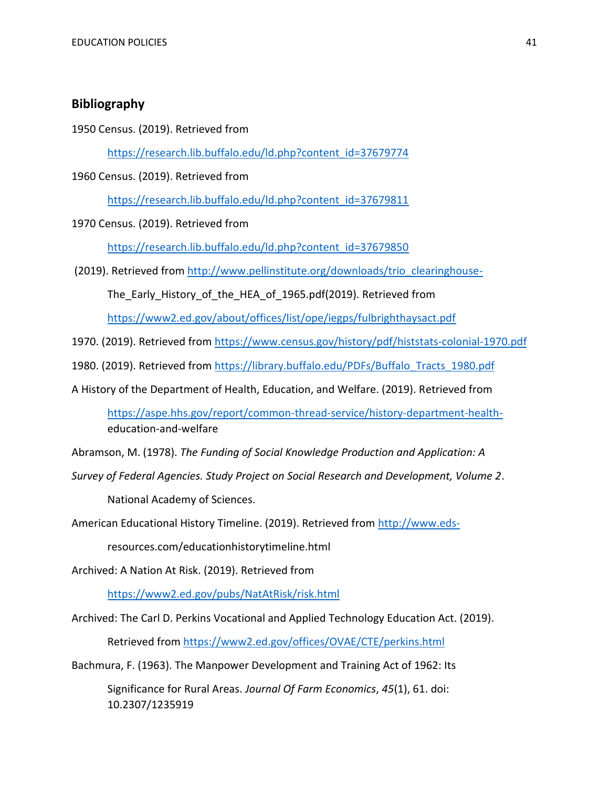## **Bibliography**

1950 Census. (2019). Retrieved from

[https://research.lib.buffalo.edu/ld.php?content\\_id=37679774](https://research.lib.buffalo.edu/ld.php?content_id=37679774)

1960 Census. (2019). Retrieved from

[https://research.lib.buffalo.edu/ld.php?content\\_id=37679811](https://research.lib.buffalo.edu/ld.php?content_id=37679811)

1970 Census. (2019). Retrieved from

[https://research.lib.buffalo.edu/ld.php?content\\_id=37679850](https://research.lib.buffalo.edu/ld.php?content_id=37679850)

(2019). Retrieved from [http://www.pellinstitute.org/downloads/trio\\_clearinghouse-](http://www.pellinstitute.org/downloads/trio_clearinghouse-)

The\_Early\_History\_of\_the\_HEA\_of\_1965.pdf(2019). Retrieved from

<https://www2.ed.gov/about/offices/list/ope/iegps/fulbrighthaysact.pdf>

- 1970. (2019). Retrieved fro[m https://www.census.gov/history/pdf/histstats-colonial-1970.pdf](https://www.census.gov/history/pdf/histstats-colonial-1970.pdf)
- 1980. (2019). Retrieved from https://library.buffalo.edu/PDFs/Buffalo Tracts 1980.pdf

A History of the Department of Health, Education, and Welfare. (2019). Retrieved from

[https://aspe.hhs.gov/report/common-thread-service/history-department-health](https://aspe.hhs.gov/report/common-thread-service/history-department-health-)education-and-welfare

Abramson, M. (1978). *The Funding of Social Knowledge Production and Application: A* 

*Survey of Federal Agencies. Study Project on Social Research and Development, Volume 2*.

National Academy of Sciences.

American Educational History Timeline. (2019). Retrieved from [http://www.eds-](http://www.eds-/)

resources.com/educationhistorytimeline.html

Archived: A Nation At Risk. (2019). Retrieved from

<https://www2.ed.gov/pubs/NatAtRisk/risk.html>

Archived: The Carl D. Perkins Vocational and Applied Technology Education Act. (2019).

Retrieved from<https://www2.ed.gov/offices/OVAE/CTE/perkins.html>

Bachmura, F. (1963). The Manpower Development and Training Act of 1962: Its

Significance for Rural Areas. *Journal Of Farm Economics*, *45*(1), 61. doi: 10.2307/1235919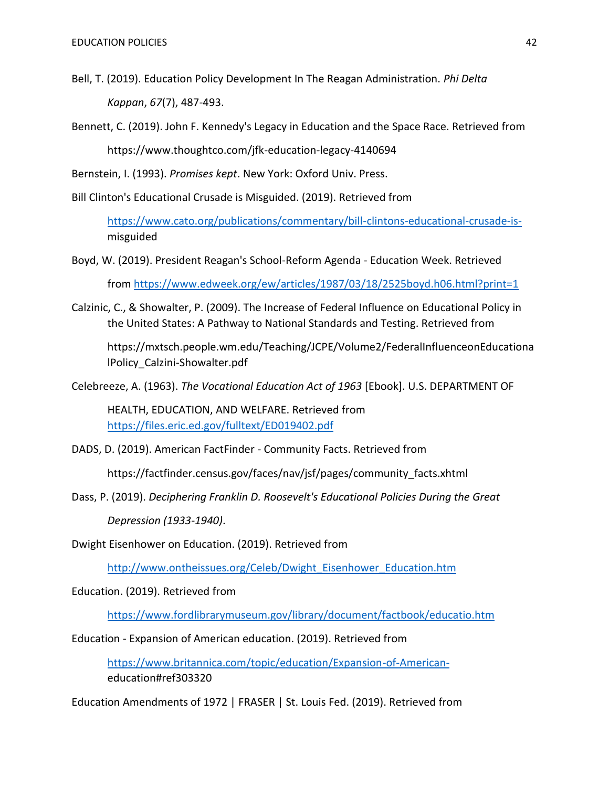- Bell, T. (2019). Education Policy Development In The Reagan Administration. *Phi Delta Kappan*, *67*(7), 487-493.
- Bennett, C. (2019). John F. Kennedy's Legacy in Education and the Space Race. Retrieved from

https://www.thoughtco.com/jfk-education-legacy-4140694

Bernstein, I. (1993). *Promises kept*. New York: Oxford Univ. Press.

Bill Clinton's Educational Crusade is Misguided. (2019). Retrieved from

[https://www.cato.org/publications/commentary/bill-clintons-educational-crusade-is](https://www.cato.org/publications/commentary/bill-clintons-educational-crusade-is-)misguided

Boyd, W. (2019). President Reagan's School-Reform Agenda - Education Week. Retrieved

from<https://www.edweek.org/ew/articles/1987/03/18/2525boyd.h06.html?print=1>

Calzinic, C., & Showalter, P. (2009). The Increase of Federal Influence on Educational Policy in the United States: A Pathway to National Standards and Testing. Retrieved from

https://mxtsch.people.wm.edu/Teaching/JCPE/Volume2/FederalInfluenceonEducationa lPolicy\_Calzini-Showalter.pdf

Celebreeze, A. (1963). *The Vocational Education Act of 1963* [Ebook]. U.S. DEPARTMENT OF

HEALTH, EDUCATION, AND WELFARE. Retrieved from <https://files.eric.ed.gov/fulltext/ED019402.pdf>

DADS, D. (2019). American FactFinder - Community Facts. Retrieved from

https://factfinder.census.gov/faces/nav/jsf/pages/community\_facts.xhtml

Dass, P. (2019). *Deciphering Franklin D. Roosevelt's Educational Policies During the Great Depression (1933-1940)*.

Dwight Eisenhower on Education. (2019). Retrieved from

[http://www.ontheissues.org/Celeb/Dwight\\_Eisenhower\\_Education.htm](http://www.ontheissues.org/Celeb/Dwight_Eisenhower_Education.htm)

Education. (2019). Retrieved from

<https://www.fordlibrarymuseum.gov/library/document/factbook/educatio.htm>

Education - Expansion of American education. (2019). Retrieved from

[https://www.britannica.com/topic/education/Expansion-of-American](https://www.britannica.com/topic/education/Expansion-of-American-)education#ref303320

Education Amendments of 1972 | FRASER | St. Louis Fed. (2019). Retrieved from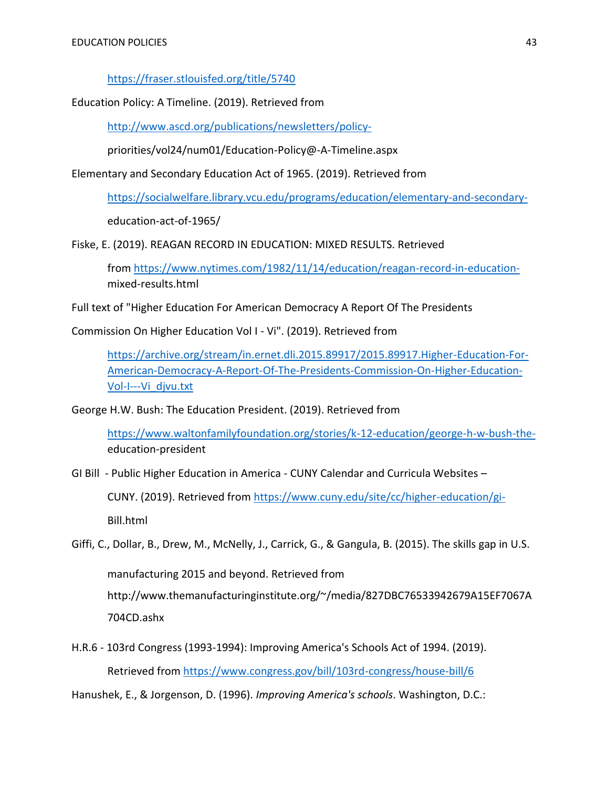<https://fraser.stlouisfed.org/title/5740>

Education Policy: A Timeline. (2019). Retrieved from

<http://www.ascd.org/publications/newsletters/policy->

priorities/vol24/num01/Education-Policy@-A-Timeline.aspx

Elementary and Secondary Education Act of 1965. (2019). Retrieved from

<https://socialwelfare.library.vcu.edu/programs/education/elementary-and-secondary->

education-act-of-1965/

Fiske, E. (2019). REAGAN RECORD IN EDUCATION: MIXED RESULTS. Retrieved

from [https://www.nytimes.com/1982/11/14/education/reagan-record-in-education](https://www.nytimes.com/1982/11/14/education/reagan-record-in-education-)mixed-results.html

Full text of "Higher Education For American Democracy A Report Of The Presidents

Commission On Higher Education Vol I - Vi". (2019). Retrieved from

[https://archive.org/stream/in.ernet.dli.2015.89917/2015.89917.Higher-Education-For-](https://archive.org/stream/in.ernet.dli.2015.89917/2015.89917.Higher-Education-For-American-Democracy-A-Report-Of-The-Presidents-Commission-On-Higher-Education-Vol-I---Vi_djvu.txt)[American-Democracy-A-Report-Of-The-Presidents-Commission-On-Higher-Education-](https://archive.org/stream/in.ernet.dli.2015.89917/2015.89917.Higher-Education-For-American-Democracy-A-Report-Of-The-Presidents-Commission-On-Higher-Education-Vol-I---Vi_djvu.txt)[Vol-I---Vi\\_djvu.txt](https://archive.org/stream/in.ernet.dli.2015.89917/2015.89917.Higher-Education-For-American-Democracy-A-Report-Of-The-Presidents-Commission-On-Higher-Education-Vol-I---Vi_djvu.txt)

George H.W. Bush: The Education President. (2019). Retrieved from

[https://www.waltonfamilyfoundation.org/stories/k-12-education/george-h-w-bush-the](https://www.waltonfamilyfoundation.org/stories/k-12-education/george-h-w-bush-the-)education-president

GI Bill - Public Higher Education in America - CUNY Calendar and Curricula Websites –

CUNY. (2019). Retrieved from<https://www.cuny.edu/site/cc/higher-education/gi->Bill.html

Giffi, C., Dollar, B., Drew, M., McNelly, J., Carrick, G., & Gangula, B. (2015). The skills gap in U.S.

manufacturing 2015 and beyond. Retrieved from

http://www.themanufacturinginstitute.org/~/media/827DBC76533942679A15EF7067A 704CD.ashx

H.R.6 - 103rd Congress (1993-1994): Improving America's Schools Act of 1994. (2019). Retrieved from<https://www.congress.gov/bill/103rd-congress/house-bill/6>

Hanushek, E., & Jorgenson, D. (1996). *Improving America's schools*. Washington, D.C.: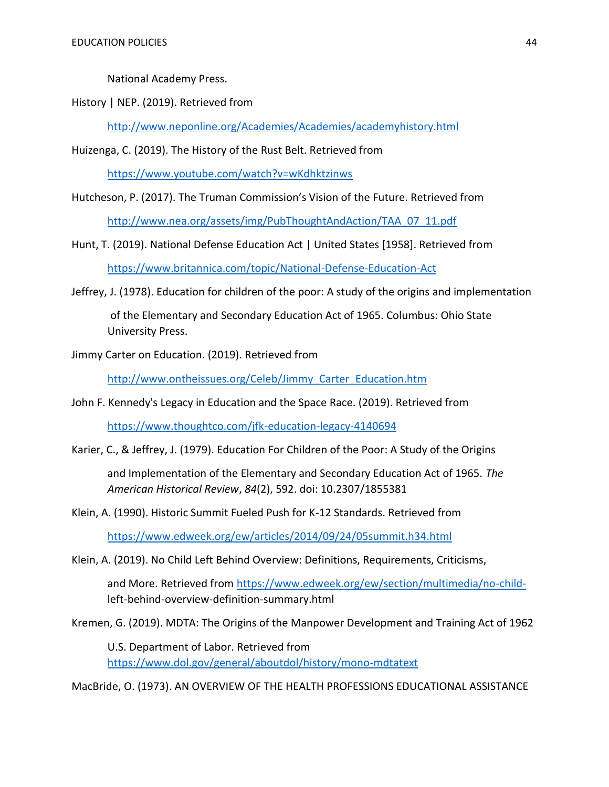National Academy Press.

History | NEP. (2019). Retrieved from

<http://www.neponline.org/Academies/Academies/academyhistory.html>

Huizenga, C. (2019). The History of the Rust Belt. Retrieved from

<https://www.youtube.com/watch?v=wKdhktzinws>

- Hutcheson, P. (2017). The Truman Commission's Vision of the Future. Retrieved from [http://www.nea.org/assets/img/PubThoughtAndAction/TAA\\_07\\_11.pdf](http://www.nea.org/assets/img/PubThoughtAndAction/TAA_07_11.pdf)
- Hunt, T. (2019). National Defense Education Act | United States [1958]. Retrieved from <https://www.britannica.com/topic/National-Defense-Education-Act>
- Jeffrey, J. (1978). Education for children of the poor: A study of the origins and implementation of the Elementary and Secondary Education Act of 1965. Columbus: Ohio State University Press.
- Jimmy Carter on Education. (2019). Retrieved from

[http://www.ontheissues.org/Celeb/Jimmy\\_Carter\\_Education.htm](http://www.ontheissues.org/Celeb/Jimmy_Carter_Education.htm)

John F. Kennedy's Legacy in Education and the Space Race. (2019). Retrieved from

<https://www.thoughtco.com/jfk-education-legacy-4140694>

Karier, C., & Jeffrey, J. (1979). Education For Children of the Poor: A Study of the Origins

and Implementation of the Elementary and Secondary Education Act of 1965. *The American Historical Review*, *84*(2), 592. doi: 10.2307/1855381

Klein, A. (1990). Historic Summit Fueled Push for K-12 Standards. Retrieved from

<https://www.edweek.org/ew/articles/2014/09/24/05summit.h34.html>

Klein, A. (2019). No Child Left Behind Overview: Definitions, Requirements, Criticisms,

and More. Retrieved from [https://www.edweek.org/ew/section/multimedia/no-child](https://www.edweek.org/ew/section/multimedia/no-child-)left-behind-overview-definition-summary.html

Kremen, G. (2019). MDTA: The Origins of the Manpower Development and Training Act of 1962

U.S. Department of Labor. Retrieved from <https://www.dol.gov/general/aboutdol/history/mono-mdtatext>

MacBride, O. (1973). AN OVERVIEW OF THE HEALTH PROFESSIONS EDUCATIONAL ASSISTANCE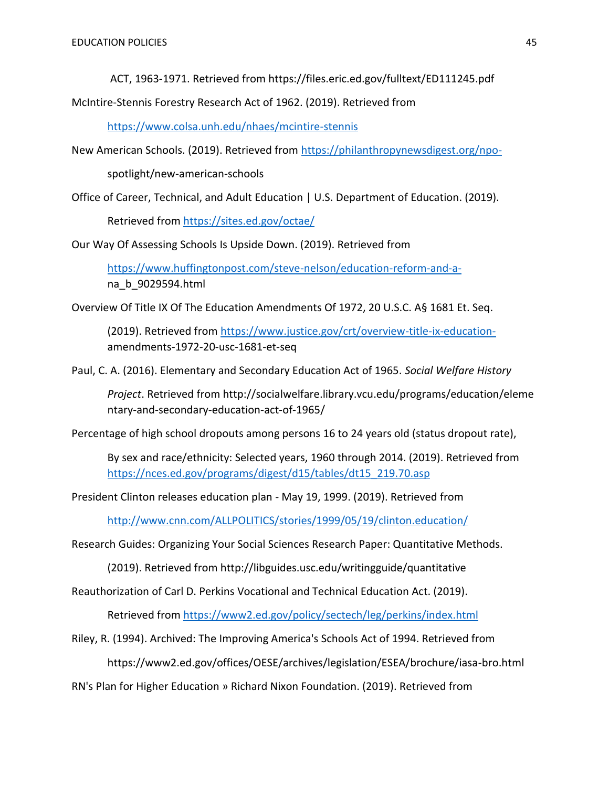ACT, 1963-1971. Retrieved from https://files.eric.ed.gov/fulltext/ED111245.pdf

McIntire-Stennis Forestry Research Act of 1962. (2019). Retrieved from

<https://www.colsa.unh.edu/nhaes/mcintire-stennis>

New American Schools. (2019). Retrieved from<https://philanthropynewsdigest.org/npo->

spotlight/new-american-schools

Office of Career, Technical, and Adult Education | U.S. Department of Education. (2019).

Retrieved from<https://sites.ed.gov/octae/>

Our Way Of Assessing Schools Is Upside Down. (2019). Retrieved from

[https://www.huffingtonpost.com/steve-nelson/education-reform-and-a](https://www.huffingtonpost.com/steve-nelson/education-reform-and-a-)na\_b\_9029594.html

Overview Of Title IX Of The Education Amendments Of 1972, 20 U.S.C. A§ 1681 Et. Seq.

(2019). Retrieved from [https://www.justice.gov/crt/overview-title-ix-education](https://www.justice.gov/crt/overview-title-ix-education-)amendments-1972-20-usc-1681-et-seq

Paul, C. A. (2016). Elementary and Secondary Education Act of 1965. *Social Welfare History* 

*Project*. Retrieved from http://socialwelfare.library.vcu.edu/programs/education/eleme ntary-and-secondary-education-act-of-1965/

Percentage of high school dropouts among persons 16 to 24 years old (status dropout rate),

By sex and race/ethnicity: Selected years, 1960 through 2014. (2019). Retrieved from [https://nces.ed.gov/programs/digest/d15/tables/dt15\\_219.70.asp](https://nces.ed.gov/programs/digest/d15/tables/dt15_219.70.asp)

President Clinton releases education plan - May 19, 1999. (2019). Retrieved from

<http://www.cnn.com/ALLPOLITICS/stories/1999/05/19/clinton.education/>

Research Guides: Organizing Your Social Sciences Research Paper: Quantitative Methods.

(2019). Retrieved from http://libguides.usc.edu/writingguide/quantitative

Reauthorization of Carl D. Perkins Vocational and Technical Education Act. (2019).

Retrieved from<https://www2.ed.gov/policy/sectech/leg/perkins/index.html>

Riley, R. (1994). Archived: The Improving America's Schools Act of 1994. Retrieved from

https://www2.ed.gov/offices/OESE/archives/legislation/ESEA/brochure/iasa-bro.html

RN's Plan for Higher Education » Richard Nixon Foundation. (2019). Retrieved from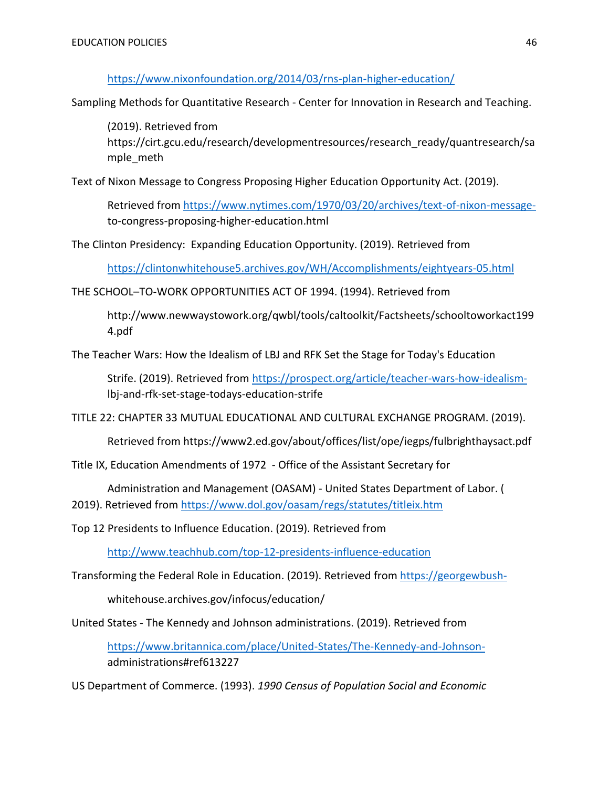<https://www.nixonfoundation.org/2014/03/rns-plan-higher-education/>

Sampling Methods for Quantitative Research - Center for Innovation in Research and Teaching.

(2019). Retrieved from https://cirt.gcu.edu/research/developmentresources/research\_ready/quantresearch/sa mple\_meth

Text of Nixon Message to Congress Proposing Higher Education Opportunity Act. (2019).

Retrieved from [https://www.nytimes.com/1970/03/20/archives/text-of-nixon-message](https://www.nytimes.com/1970/03/20/archives/text-of-nixon-message-)to-congress-proposing-higher-education.html

The Clinton Presidency: Expanding Education Opportunity. (2019). Retrieved from

<https://clintonwhitehouse5.archives.gov/WH/Accomplishments/eightyears-05.html>

THE SCHOOL–TO-WORK OPPORTUNITIES ACT OF 1994. (1994). Retrieved from

http://www.newwaystowork.org/qwbl/tools/caltoolkit/Factsheets/schooltoworkact199 4.pdf

The Teacher Wars: How the Idealism of LBJ and RFK Set the Stage for Today's Education

Strife. (2019). Retrieved from [https://prospect.org/article/teacher-wars-how-idealism](https://prospect.org/article/teacher-wars-how-idealism-)lbj-and-rfk-set-stage-todays-education-strife

TITLE 22: CHAPTER 33 MUTUAL EDUCATIONAL AND CULTURAL EXCHANGE PROGRAM. (2019).

Retrieved from https://www2.ed.gov/about/offices/list/ope/iegps/fulbrighthaysact.pdf

Title IX, Education Amendments of 1972 - Office of the Assistant Secretary for

Administration and Management (OASAM) - United States Department of Labor. ( 2019). Retrieved from<https://www.dol.gov/oasam/regs/statutes/titleix.htm>

Top 12 Presidents to Influence Education. (2019). Retrieved from

<http://www.teachhub.com/top-12-presidents-influence-education>

Transforming the Federal Role in Education. (2019). Retrieved from [https://georgewbush-](https://georgewbush-/)

whitehouse.archives.gov/infocus/education/

United States - The Kennedy and Johnson administrations. (2019). Retrieved from

[https://www.britannica.com/place/United-States/The-Kennedy-and-Johnson](https://www.britannica.com/place/United-States/The-Kennedy-and-Johnson-)administrations#ref613227

US Department of Commerce. (1993). *1990 Census of Population Social and Economic*